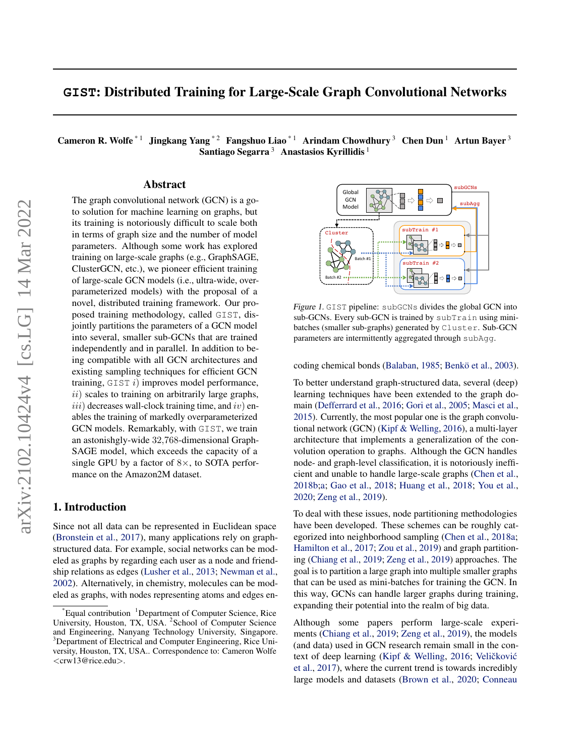# **GIST**: Distributed Training for Large-Scale Graph Convolutional Networks

Cameron R. Wolfe<sup>\*1</sup> Jingkang Yang<sup>\*2</sup> Fangshuo Liao<sup>\*1</sup> Arindam Chowdhury<sup>3</sup> Chen Dun<sup>1</sup> Artun Bayer<sup>3</sup> Santiago Segarra<sup>3</sup> Anastasios Kyrillidis<sup>1</sup>

### Abstract

The graph convolutional network (GCN) is a goto solution for machine learning on graphs, but its training is notoriously difficult to scale both in terms of graph size and the number of model parameters. Although some work has explored training on large-scale graphs (e.g., GraphSAGE, ClusterGCN, etc.), we pioneer efficient training of large-scale GCN models (i.e., ultra-wide, overparameterized models) with the proposal of a novel, distributed training framework. Our proposed training methodology, called GIST, disjointly partitions the parameters of a GCN model into several, smaller sub-GCNs that are trained independently and in parallel. In addition to being compatible with all GCN architectures and existing sampling techniques for efficient GCN training,  $GIST i)$  improves model performance,  $ii)$  scales to training on arbitrarily large graphs,  $iii)$  decreases wall-clock training time, and  $iv)$  enables the training of markedly overparameterized GCN models. Remarkably, with GIST, we train an astonishgly-wide 32,768-dimensional Graph-SAGE model, which exceeds the capacity of a single GPU by a factor of  $8\times$ , to SOTA performance on the Amazon2M dataset.

### 1. Introduction

Since not all data can be represented in Euclidean space [\(Bronstein et al.,](#page-8-0) [2017\)](#page-8-0), many applications rely on graphstructured data. For example, social networks can be modeled as graphs by regarding each user as a node and friendship relations as edges [\(Lusher et al.,](#page-9-0) [2013;](#page-9-0) [Newman et al.,](#page-9-1) [2002\)](#page-9-1). Alternatively, in chemistry, molecules can be modeled as graphs, with nodes representing atoms and edges en-



<span id="page-0-0"></span>Figure 1. GIST pipeline: subGCNs divides the global GCN into sub-GCNs. Every sub-GCN is trained by subTrain using minibatches (smaller sub-graphs) generated by Cluster. Sub-GCN parameters are intermittently aggregated through subAgg.

coding chemical bonds [\(Balaban,](#page-8-1) [1985;](#page-8-1) Benkö et al., [2003\)](#page-8-2).

To better understand graph-structured data, several (deep) learning techniques have been extended to the graph domain [\(Defferrard et al.,](#page-8-3) [2016;](#page-8-3) [Gori et al.,](#page-8-4) [2005;](#page-8-4) [Masci et al.,](#page-9-2) [2015\)](#page-9-2). Currently, the most popular one is the graph convolutional network (GCN) [\(Kipf & Welling,](#page-8-5) [2016\)](#page-8-5), a multi-layer architecture that implements a generalization of the convolution operation to graphs. Although the GCN handles node- and graph-level classification, it is notoriously inefficient and unable to handle large-scale graphs [\(Chen et al.,](#page-8-6) [2018b;](#page-8-6)[a;](#page-8-7) [Gao et al.,](#page-8-8) [2018;](#page-8-8) [Huang et al.,](#page-8-9) [2018;](#page-8-9) [You et al.,](#page-9-3) [2020;](#page-9-3) [Zeng et al.,](#page-9-4) [2019\)](#page-9-4).

To deal with these issues, node partitioning methodologies have been developed. These schemes can be roughly categorized into neighborhood sampling [\(Chen et al.,](#page-8-7) [2018a;](#page-8-7) [Hamilton et al.,](#page-8-10) [2017;](#page-8-10) [Zou et al.,](#page-10-0) [2019\)](#page-10-0) and graph partitioning [\(Chiang et al.,](#page-8-11) [2019;](#page-8-11) [Zeng et al.,](#page-9-4) [2019\)](#page-9-4) approaches. The goal is to partition a large graph into multiple smaller graphs that can be used as mini-batches for training the GCN. In this way, GCNs can handle larger graphs during training, expanding their potential into the realm of big data.

Although some papers perform large-scale experiments [\(Chiang et al.,](#page-8-11) [2019;](#page-8-11) [Zeng et al.,](#page-9-4) [2019\)](#page-9-4), the models (and data) used in GCN research remain small in the con-text of deep learning [\(Kipf & Welling,](#page-8-5) [2016;](#page-8-5) Veličković [et al.,](#page-9-5) [2017\)](#page-9-5), where the current trend is towards incredibly large models and datasets [\(Brown et al.,](#page-8-12) [2020;](#page-8-12) [Conneau](#page-8-13)

Equal contribution  ${}^{1}$ Department of Computer Science, Rice University, Houston, TX, USA. <sup>2</sup> School of Computer Science and Engineering, Nanyang Technology University, Singapore. <sup>3</sup>Department of Electrical and Computer Engineering, Rice University, Houston, TX, USA.. Correspondence to: Cameron Wolfe <crw13@rice.edu>.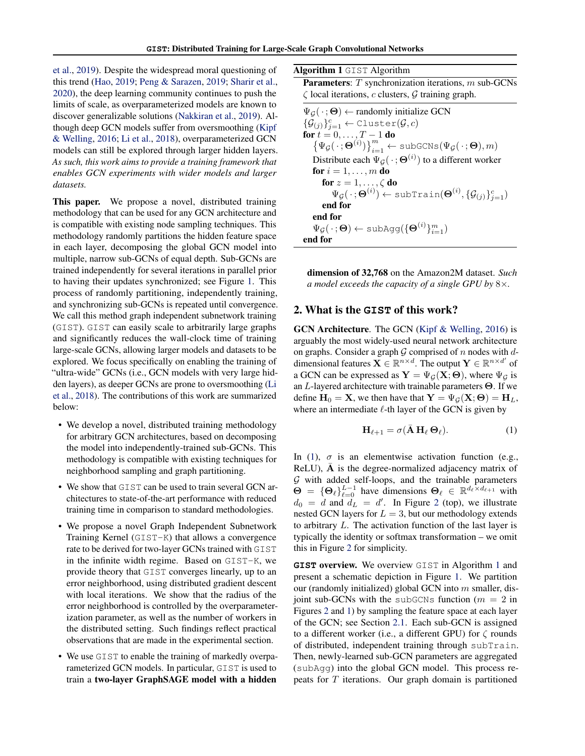[et al.,](#page-8-13) [2019\)](#page-8-13). Despite the widespread moral questioning of this trend [\(Hao,](#page-8-14) [2019;](#page-8-14) [Peng & Sarazen,](#page-9-6) [2019;](#page-9-6) [Sharir et al.,](#page-9-7) [2020\)](#page-9-7), the deep learning community continues to push the limits of scale, as overparameterized models are known to discover generalizable solutions [\(Nakkiran et al.,](#page-9-8) [2019\)](#page-9-8). Although deep GCN models suffer from oversmoothing [\(Kipf](#page-8-5) [& Welling,](#page-8-5) [2016;](#page-8-5) [Li et al.,](#page-8-15) [2018\)](#page-8-15), overparameterized GCN models can still be explored through larger hidden layers. *As such, this work aims to provide a training framework that enables GCN experiments with wider models and larger datasets.*

This paper. We propose a novel, distributed training methodology that can be used for any GCN architecture and is compatible with existing node sampling techniques. This methodology randomly partitions the hidden feature space in each layer, decomposing the global GCN model into multiple, narrow sub-GCNs of equal depth. Sub-GCNs are trained independently for several iterations in parallel prior to having their updates synchronized; see Figure [1.](#page-0-0) This process of randomly partitioning, independently training, and synchronizing sub-GCNs is repeated until convergence. We call this method graph independent subnetwork training (GIST). GIST can easily scale to arbitrarily large graphs and significantly reduces the wall-clock time of training large-scale GCNs, allowing larger models and datasets to be explored. We focus specifically on enabling the training of "ultra-wide" GCNs (i.e., GCN models with very large hidden layers), as deeper GCNs are prone to oversmoothing [\(Li](#page-8-15) [et al.,](#page-8-15) [2018\)](#page-8-15). The contributions of this work are summarized below:

- We develop a novel, distributed training methodology for arbitrary GCN architectures, based on decomposing the model into independently-trained sub-GCNs. This methodology is compatible with existing techniques for neighborhood sampling and graph partitioning.
- We show that GIST can be used to train several GCN architectures to state-of-the-art performance with reduced training time in comparison to standard methodologies.
- We propose a novel Graph Independent Subnetwork Training Kernel (GIST-K) that allows a convergence rate to be derived for two-layer GCNs trained with GIST in the infinite width regime. Based on GIST-K, we provide theory that GIST converges linearly, up to an error neighborhood, using distributed gradient descent with local iterations. We show that the radius of the error neighborhood is controlled by the overparameterization parameter, as well as the number of workers in the distributed setting. Such findings reflect practical observations that are made in the experimental section.
- We use GIST to enable the training of markedly overparameterized GCN models. In particular, GIST is used to train a two-layer GraphSAGE model with a hidden

Algorithm 1 GIST Algorithm

<span id="page-1-1"></span>Parameters: T synchronization iterations, m sub-GCNs  $\zeta$  local iterations, c clusters,  $\mathcal G$  training graph.

 $\Psi_G(\cdot;\Theta) \leftarrow$  randomly initialize GCN  $\{\mathcal{G}_{(j)}\}_{j=1}^c \leftarrow \texttt{Cluster}(\mathcal{G}, c)$ for  $t = 0, \ldots, T-1$  do  $\left\{ \Psi_{\mathcal{G}}(\,\cdot\,;\boldsymbol{\Theta}^{(i)}) \right\}_{i=1}^m \leftarrow \texttt{subGCNs}(\Psi_{\mathcal{G}}(\,\cdot\,;\boldsymbol{\Theta}),m)$ Distribute each  $\Psi_{\mathcal{G}}(\,\cdot\,;\Theta^{(i)})$  to a different worker for  $i = 1, \ldots, m$  do for  $z = 1, \ldots, \zeta$  do  $\Psi_{\mathcal{G}}(\,\cdot\,;\boldsymbol{\Theta}^{(i)}) \leftarrow \texttt{subTrain}(\boldsymbol{\Theta}^{(i)},\{\mathcal{G}_{(j)}\}_{j=1}^c)$ end for end for  $\Psi_{\mathcal{G}}(\,\cdot\,;\boldsymbol{\Theta})\leftarrow \texttt{subAgg}(\{\boldsymbol{\Theta}^{(i)}\}_{i=1}^m)$ end for

dimension of 32,768 on the Amazon2M dataset. *Such a model exceeds the capacity of a single GPU by* 8×*.*

# <span id="page-1-2"></span>2. What is the **GIST** of this work?

GCN Architecture. The GCN [\(Kipf & Welling,](#page-8-5) [2016\)](#page-8-5) is arguably the most widely-used neural network architecture on graphs. Consider a graph  $G$  comprised of n nodes with ddimensional features  $\mathbf{X} \in \mathbb{R}^{n \times d}$ . The output  $\mathbf{Y} \in \mathbb{R}^{n \times d'}$  of a GCN can be expressed as  $Y = \Psi_G(X; \Theta)$ , where  $\Psi_G$  is an L-layered architecture with trainable parameters Θ. If we define  $H_0 = X$ , we then have that  $Y = \Psi_G(X; \Theta) = H_L$ , where an intermediate  $\ell$ -th layer of the GCN is given by

<span id="page-1-0"></span>
$$
\mathbf{H}_{\ell+1} = \sigma(\bar{\mathbf{A}} \, \mathbf{H}_{\ell} \, \Theta_{\ell}). \tag{1}
$$

In [\(1\)](#page-1-0),  $\sigma$  is an elementwise activation function (e.g.,  $ReLU$ ),  $\bf{A}$  is the degree-normalized adjacency matrix of  $G$  with added self-loops, and the trainable parameters  $\Theta = \{\Theta_\ell\}_{\ell=0}^{L-1}$  have dimensions  $\Theta_\ell \in \mathbb{R}^{d_\ell \times d_{\ell+1}}$  with  $d_0 = d$  and  $d_L = d'$ . In Figure [2](#page-2-0) (top), we illustrate nested GCN layers for  $L = 3$ , but our methodology extends to arbitrary L. The activation function of the last layer is typically the identity or softmax transformation – we omit this in Figure [2](#page-2-0) for simplicity.

**GIST** overview. We overview GIST in Algorithm [1](#page-1-1) and present a schematic depiction in Figure [1.](#page-0-0) We partition our (randomly initialized) global GCN into  $m$  smaller, disjoint sub-GCNs with the subGCNs function ( $m = 2$  in Figures [2](#page-2-0) and [1\)](#page-0-0) by sampling the feature space at each layer of the GCN; see Section [2.1.](#page-2-1) Each sub-GCN is assigned to a different worker (i.e., a different GPU) for  $\zeta$  rounds of distributed, independent training through subTrain. Then, newly-learned sub-GCN parameters are aggregated (subAgg) into the global GCN model. This process repeats for T iterations. Our graph domain is partitioned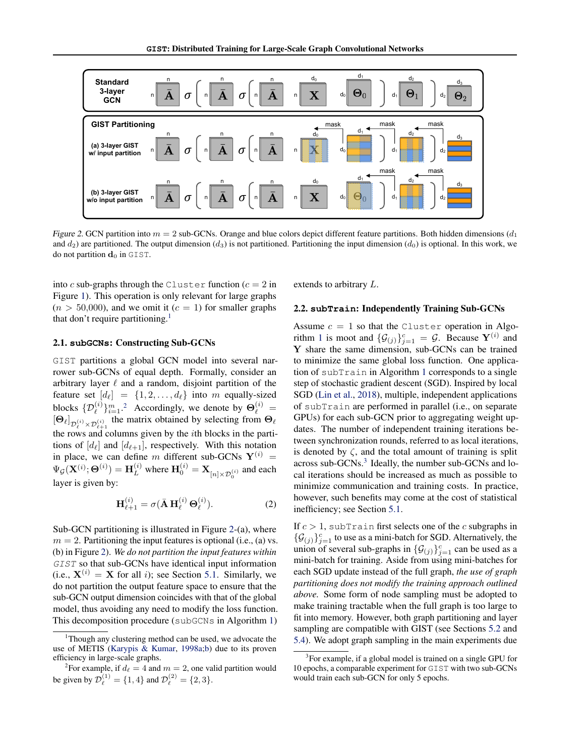

Figure 2. GCN partition into  $m = 2$  sub-GCNs. Orange and blue colors depict different feature partitions. Both hidden dimensions  $(d_1)$ and  $d_2$ ) are partitioned. The output dimension ( $d_3$ ) is not partitioned. Partitioning the input dimension ( $d_0$ ) is optional. In this work, we do not partition  $\mathbf{d}_0$  in GIST.

into c sub-graphs through the Cluster function  $(c = 2$  in Figure [1\)](#page-0-0). This operation is only relevant for large graphs  $(n > 50,000)$ , and we omit it  $(c = 1)$  for smaller graphs that don't require partitioning.<sup>[1](#page-2-2)</sup>

#### <span id="page-2-1"></span>2.1. **subGCNs**: Constructing Sub-GCNs

GIST partitions a global GCN model into several narrower sub-GCNs of equal depth. Formally, consider an arbitrary layer  $\ell$  and a random, disjoint partition of the feature set  $[d_\ell] = \{1, 2, \ldots, d_\ell\}$  into m equally-sized blocks  $\{\mathcal{D}_{\ell}^{(i)}\}_{i=1}^m$ . Accordingly, we denote by  $\Theta_{\ell}^{(i)}$  = blocks  $\{v_\ell\}_{j_{\ell=1}^{\{i\}}}$ . Accordingly, we denote by  $\mathcal{O}_\ell$  = the rows and columns given by the ith blocks in the partitions of  $[d_\ell]$  and  $[d_{\ell+1}]$ , respectively. With this notation in place, we can define m different sub-GCNs  $Y^{(i)}$  =  $\Psi_{\mathcal{G}}(\mathbf{X}^{(i)};\Theta^{(i)})=\mathbf{H}_{L}^{(i)}$  where  $\mathbf{H}_{0}^{(i)}=\mathbf{X}_{[n]\times\mathcal{D}_{0}^{(i)}}$  and each layer is given by:

$$
\mathbf{H}_{\ell+1}^{(i)} = \sigma(\bar{\mathbf{A}} \, \mathbf{H}_{\ell}^{(i)} \, \Theta_{\ell}^{(i)}).
$$
 (2)

Sub-GCN partitioning is illustrated in Figure [2-](#page-2-0)(a), where  $m = 2$ . Partitioning the input features is optional (i.e., (a) vs. (b) in Figure [2\)](#page-2-0). *We do not partition the input features within* GIST so that sub-GCNs have identical input information (i.e.,  $X^{(i)} = X$  for all i); see Section [5.1.](#page-5-0) Similarly, we do not partition the output feature space to ensure that the sub-GCN output dimension coincides with that of the global model, thus avoiding any need to modify the loss function. This decomposition procedure (subGCNs in Algorithm [1\)](#page-1-1)

<span id="page-2-0"></span>extends to arbitrary L.

#### 2.2. **subTrain**: Independently Training Sub-GCNs

Assume  $c = 1$  so that the Cluster operation in Algo-rithm [1](#page-1-1) is moot and  $\{\mathcal{G}_{(j)}\}_{j=1}^c = \mathcal{G}$ . Because  $\mathbf{Y}^{(i)}$  and Y share the same dimension, sub-GCNs can be trained to minimize the same global loss function. One application of subTrain in Algorithm [1](#page-1-1) corresponds to a single step of stochastic gradient descent (SGD). Inspired by local SGD [\(Lin et al.,](#page-9-9) [2018\)](#page-9-9), multiple, independent applications of subTrain are performed in parallel (i.e., on separate GPUs) for each sub-GCN prior to aggregating weight updates. The number of independent training iterations between synchronization rounds, referred to as local iterations, is denoted by  $\zeta$ , and the total amount of training is split across sub-GCNs.<sup>[3](#page-2-4)</sup> Ideally, the number sub-GCNs and local iterations should be increased as much as possible to minimize communication and training costs. In practice, however, such benefits may come at the cost of statistical inefficiency; see Section [5.1.](#page-5-0)

If  $c > 1$ , subTrain first selects one of the c subgraphs in  $\{\mathcal{G}_{(j)}\}_{j=1}^c$  to use as a mini-batch for SGD. Alternatively, the union of several sub-graphs in  $\{\mathcal{G}_{(j)}\}_{j=1}^c$  can be used as a mini-batch for training. Aside from using mini-batches for each SGD update instead of the full graph, *the use of graph partitioning does not modify the training approach outlined above.* Some form of node sampling must be adopted to make training tractable when the full graph is too large to fit into memory. However, both graph partitioning and layer sampling are compatible with GIST (see Sections [5.2](#page-5-1) and [5.4\)](#page-7-0). We adopt graph sampling in the main experiments due

<span id="page-2-2"></span><sup>&</sup>lt;sup>1</sup>Though any clustering method can be used, we advocate the use of METIS [\(Karypis & Kumar,](#page-8-16) [1998a](#page-8-16)[;b\)](#page-8-17) due to its proven efficiency in large-scale graphs.

<span id="page-2-3"></span><sup>&</sup>lt;sup>2</sup>For example, if  $d_\ell = 4$  and  $m = 2$ , one valid partition would be given by  $\mathcal{D}_{\ell}^{(1)} = \{1, 4\}$  and  $\mathcal{D}_{\ell}^{(2)} = \{2, 3\}.$ 

<span id="page-2-4"></span><sup>&</sup>lt;sup>3</sup>For example, if a global model is trained on a single GPU for 10 epochs, a comparable experiment for GIST with two sub-GCNs would train each sub-GCN for only 5 epochs.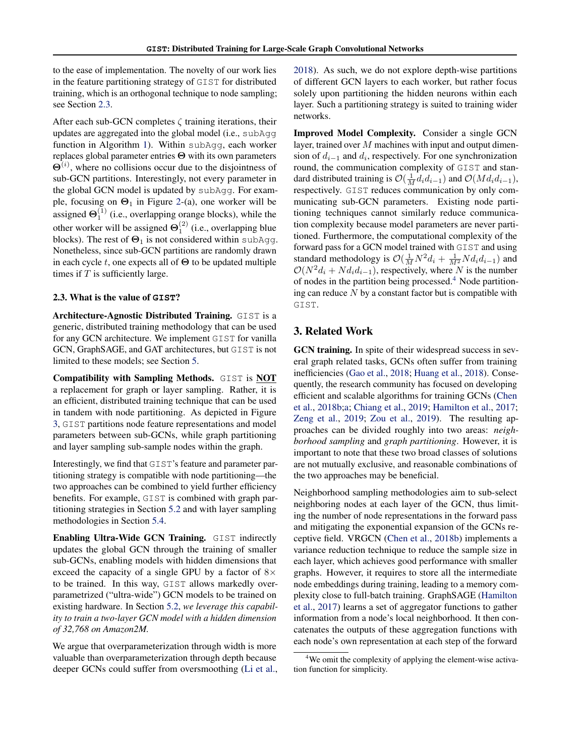to the ease of implementation. The novelty of our work lies in the feature partitioning strategy of GIST for distributed training, which is an orthogonal technique to node sampling; see Section [2.3.](#page-3-0)

After each sub-GCN completes  $\zeta$  training iterations, their updates are aggregated into the global model (i.e., subAgg function in Algorithm [1\)](#page-1-1). Within subAgg, each worker replaces global parameter entries Θ with its own parameters  $\Theta^{(i)}$ , where no collisions occur due to the disjointness of sub-GCN partitions. Interestingly, not every parameter in the global GCN model is updated by subAgg. For example, focusing on  $\Theta_1$  in Figure [2-](#page-2-0)(a), one worker will be assigned  $\Theta_1^{(1)}$  (i.e., overlapping orange blocks), while the other worker will be assigned  $\Theta_1^{(2)}$  (i.e., overlapping blue blocks). The rest of  $\Theta_1$  is not considered within subAgg. Nonetheless, since sub-GCN partitions are randomly drawn in each cycle t, one expects all of  $\Theta$  to be updated multiple times if  $T$  is sufficiently large.

### <span id="page-3-0"></span>2.3. What is the value of **GIST**?

Architecture-Agnostic Distributed Training. GIST is a generic, distributed training methodology that can be used for any GCN architecture. We implement GIST for vanilla GCN, GraphSAGE, and GAT architectures, but GIST is not limited to these models; see Section [5.](#page-5-2)

Compatibility with Sampling Methods. GIST is NOT a replacement for graph or layer sampling. Rather, it is an efficient, distributed training technique that can be used in tandem with node partitioning. As depicted in Figure [3,](#page-4-0) GIST partitions node feature representations and model parameters between sub-GCNs, while graph partitioning and layer sampling sub-sample nodes within the graph.

Interestingly, we find that GIST's feature and parameter partitioning strategy is compatible with node partitioning—the two approaches can be combined to yield further efficiency benefits. For example, GIST is combined with graph partitioning strategies in Section [5.2](#page-5-1) and with layer sampling methodologies in Section [5.4.](#page-7-0)

Enabling Ultra-Wide GCN Training. GIST indirectly updates the global GCN through the training of smaller sub-GCNs, enabling models with hidden dimensions that exceed the capacity of a single GPU by a factor of  $8\times$ to be trained. In this way, GIST allows markedly overparametrized ("ultra-wide") GCN models to be trained on existing hardware. In Section [5.2,](#page-5-1) *we leverage this capability to train a two-layer GCN model with a hidden dimension of 32,768 on Amazon2M.*

We argue that overparameterization through width is more valuable than overparameterization through depth because deeper GCNs could suffer from oversmoothing [\(Li et al.,](#page-8-15) [2018\)](#page-8-15). As such, we do not explore depth-wise partitions of different GCN layers to each worker, but rather focus solely upon partitioning the hidden neurons within each layer. Such a partitioning strategy is suited to training wider networks.

Improved Model Complexity. Consider a single GCN layer, trained over  $M$  machines with input and output dimension of  $d_{i-1}$  and  $d_i$ , respectively. For one synchronization round, the communication complexity of GIST and standard distributed training is  $\mathcal{O}(\frac{1}{M}d_i d_{i-1})$  and  $\mathcal{O}(M d_i d_{i-1}),$ respectively. GIST reduces communication by only communicating sub-GCN parameters. Existing node partitioning techniques cannot similarly reduce communication complexity because model parameters are never partitioned. Furthermore, the computational complexity of the forward pass for a GCN model trained with GIST and using standard methodology is  $O(\frac{1}{M}N^2d_i + \frac{1}{M^2}Nd_id_{i-1})$  and  $O(N^2d_i + Nd_i d_{i-1})$ , respectively, where N is the number of nodes in the partition being processed.[4](#page-3-1) Node partitioning can reduce  $N$  by a constant factor but is compatible with GIST.

# 3. Related Work

GCN training. In spite of their widespread success in several graph related tasks, GCNs often suffer from training inefficiencies [\(Gao et al.,](#page-8-8) [2018;](#page-8-8) [Huang et al.,](#page-8-9) [2018\)](#page-8-9). Consequently, the research community has focused on developing efficient and scalable algorithms for training GCNs [\(Chen](#page-8-6) [et al.,](#page-8-6) [2018b;](#page-8-6)[a;](#page-8-7) [Chiang et al.,](#page-8-11) [2019;](#page-8-11) [Hamilton et al.,](#page-8-10) [2017;](#page-8-10) [Zeng et al.,](#page-9-4) [2019;](#page-9-4) [Zou et al.,](#page-10-0) [2019\)](#page-10-0). The resulting approaches can be divided roughly into two areas: *neighborhood sampling* and *graph partitioning*. However, it is important to note that these two broad classes of solutions are not mutually exclusive, and reasonable combinations of the two approaches may be beneficial.

Neighborhood sampling methodologies aim to sub-select neighboring nodes at each layer of the GCN, thus limiting the number of node representations in the forward pass and mitigating the exponential expansion of the GCNs receptive field. VRGCN [\(Chen et al.,](#page-8-6) [2018b\)](#page-8-6) implements a variance reduction technique to reduce the sample size in each layer, which achieves good performance with smaller graphs. However, it requires to store all the intermediate node embeddings during training, leading to a memory complexity close to full-batch training. GraphSAGE [\(Hamilton](#page-8-10) [et al.,](#page-8-10) [2017\)](#page-8-10) learns a set of aggregator functions to gather information from a node's local neighborhood. It then concatenates the outputs of these aggregation functions with each node's own representation at each step of the forward

<span id="page-3-1"></span><sup>&</sup>lt;sup>4</sup>We omit the complexity of applying the element-wise activation function for simplicity.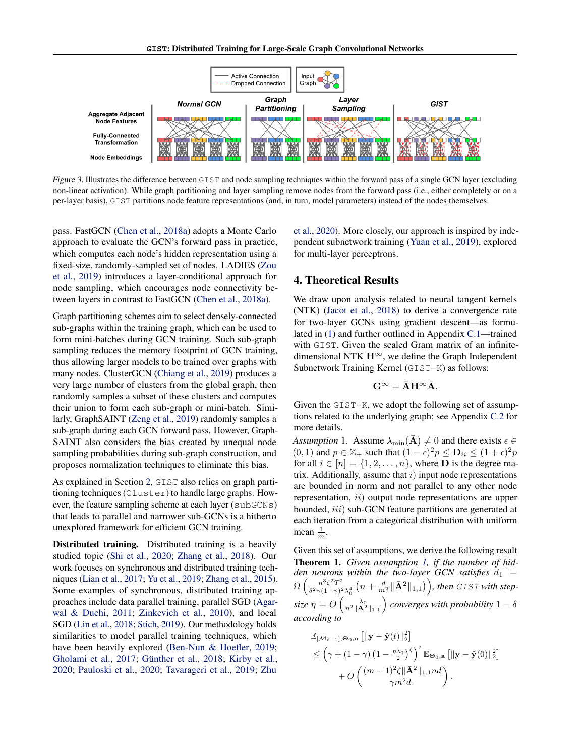

Figure 3. Illustrates the difference between GIST and node sampling techniques within the forward pass of a single GCN layer (excluding non-linear activation). While graph partitioning and layer sampling remove nodes from the forward pass (i.e., either completely or on a per-layer basis), GIST partitions node feature representations (and, in turn, model parameters) instead of the nodes themselves.

pass. FastGCN [\(Chen et al.,](#page-8-7) [2018a\)](#page-8-7) adopts a Monte Carlo approach to evaluate the GCN's forward pass in practice, which computes each node's hidden representation using a fixed-size, randomly-sampled set of nodes. LADIES [\(Zou](#page-10-0) [et al.,](#page-10-0) [2019\)](#page-10-0) introduces a layer-conditional approach for node sampling, which encourages node connectivity between layers in contrast to FastGCN [\(Chen et al.,](#page-8-7) [2018a\)](#page-8-7).

Graph partitioning schemes aim to select densely-connected sub-graphs within the training graph, which can be used to form mini-batches during GCN training. Such sub-graph sampling reduces the memory footprint of GCN training, thus allowing larger models to be trained over graphs with many nodes. ClusterGCN [\(Chiang et al.,](#page-8-11) [2019\)](#page-8-11) produces a very large number of clusters from the global graph, then randomly samples a subset of these clusters and computes their union to form each sub-graph or mini-batch. Similarly, GraphSAINT [\(Zeng et al.,](#page-9-4) [2019\)](#page-9-4) randomly samples a sub-graph during each GCN forward pass. However, Graph-SAINT also considers the bias created by unequal node sampling probabilities during sub-graph construction, and proposes normalization techniques to eliminate this bias.

As explained in Section [2,](#page-1-2) GIST also relies on graph partitioning techniques (Cluster) to handle large graphs. However, the feature sampling scheme at each layer (subGCNs) that leads to parallel and narrower sub-GCNs is a hitherto unexplored framework for efficient GCN training.

Distributed training. Distributed training is a heavily studied topic [\(Shi et al.,](#page-9-10) [2020;](#page-9-10) [Zhang et al.,](#page-9-11) [2018\)](#page-9-11). Our work focuses on synchronous and distributed training techniques [\(Lian et al.,](#page-9-12) [2017;](#page-9-12) [Yu et al.,](#page-9-13) [2019;](#page-9-13) [Zhang et al.,](#page-9-14) [2015\)](#page-9-14). Some examples of synchronous, distributed training approaches include data parallel training, parallel SGD [\(Agar](#page-8-18)[wal & Duchi,](#page-8-18) [2011;](#page-8-18) [Zinkevich et al.,](#page-9-15) [2010\)](#page-9-15), and local SGD [\(Lin et al.,](#page-9-9) [2018;](#page-9-9) [Stich,](#page-9-16) [2019\)](#page-9-16). Our methodology holds similarities to model parallel training techniques, which have been heavily explored [\(Ben-Nun & Hoefler,](#page-8-19) [2019;](#page-8-19) [Gholami et al.,](#page-8-20) [2017;](#page-8-20) Günther et al., [2018;](#page-8-21) [Kirby et al.,](#page-8-22) [2020;](#page-8-22) [Pauloski et al.,](#page-9-17) [2020;](#page-9-17) [Tavarageri et al.,](#page-9-18) [2019;](#page-9-18) [Zhu](#page-9-19)

<span id="page-4-0"></span>[et al.,](#page-9-19) [2020\)](#page-9-19). More closely, our approach is inspired by independent subnetwork training [\(Yuan et al.,](#page-9-20) [2019\)](#page-9-20), explored for multi-layer perceptrons.

## <span id="page-4-3"></span>4. Theoretical Results

We draw upon analysis related to neural tangent kernels (NTK) [\(Jacot et al.,](#page-8-23) [2018\)](#page-8-23) to derive a convergence rate for two-layer GCNs using gradient descent—as formulated in [\(1\)](#page-1-0) and further outlined in Appendix [C.1—](#page-14-0)trained with GIST. Given the scaled Gram matrix of an infinitedimensional NTK  $H^{\infty}$ , we define the Graph Independent Subnetwork Training Kernel (GIST-K) as follows:

$$
\mathbf{G}^\infty = \bar{\mathbf{A}} \mathbf{H}^\infty \bar{\mathbf{A}}.
$$

Given the GIST-K, we adopt the following set of assumptions related to the underlying graph; see Appendix [C.2](#page-15-0) for more details.

<span id="page-4-1"></span>*Assumption* 1. Assume  $\lambda_{\min}(\overline{\mathbf{A}}) \neq 0$  and there exists  $\epsilon \in \mathbb{C}$  $(0, 1)$  and  $p \in \mathbb{Z}_+$  such that  $(1 - \epsilon)^2 p \leq \mathbf{D}_{ii} \leq (1 + \epsilon)^2 p$ for all  $i \in [n] = \{1, 2, \ldots, n\}$ , where **D** is the degree matrix. Additionally, assume that  $i$ ) input node representations are bounded in norm and not parallel to any other node representation, ii) output node representations are upper bounded, *iii*) sub-GCN feature partitions are generated at each iteration from a categorical distribution with uniform mean  $\frac{1}{m}$ .

<span id="page-4-2"></span>Given this set of assumptions, we derive the following result Theorem 1. *Given assumption [1,](#page-4-1) if the number of hidden neurons within the two-layer GCN satisfies*  $d_1$  =  $\Omega\left(\frac{n^3\zeta^2T^2}{\delta^2\gamma(1-\gamma)^2}\right)$  $\frac{n^3\zeta^2 T^2}{\delta^2\gamma(1-\gamma)^2\lambda_0^4}\left(n+\frac{d}{m^2}\|\bar{\mathbf{A}}^2\|_{1,1}\right)\right)$ , then GIST with step-0 size  $\eta = O\left(\frac{\lambda_0}{n^2\|\mathbf{A}^2\|_{1,1}}\right)$  converges with probability  $1-\delta$ *according to*

$$
\begin{aligned} &\mathbb{E}_{[\mathcal{M}_{t-1}],\mathbf{\Theta}_0,\mathbf{a}} \left[\|\mathbf{y}-\hat{\mathbf{y}}(t)\|_2^2\right] \\ &\leq \left(\gamma + (1-\gamma)\left(1-\frac{\eta \lambda_0}{2}\right)^\zeta\right)^t \mathbb{E}_{\mathbf{\Theta}_0,\mathbf{a}} \left[\|\mathbf{y}-\hat{\mathbf{y}}(0)\|_2^2\right] \\ &+ O\left(\frac{(m-1)^2 \zeta\|\bar{\mathbf{A}}^2\|_{1,1} nd}{\gamma m^2 d_1}\right). \end{aligned}
$$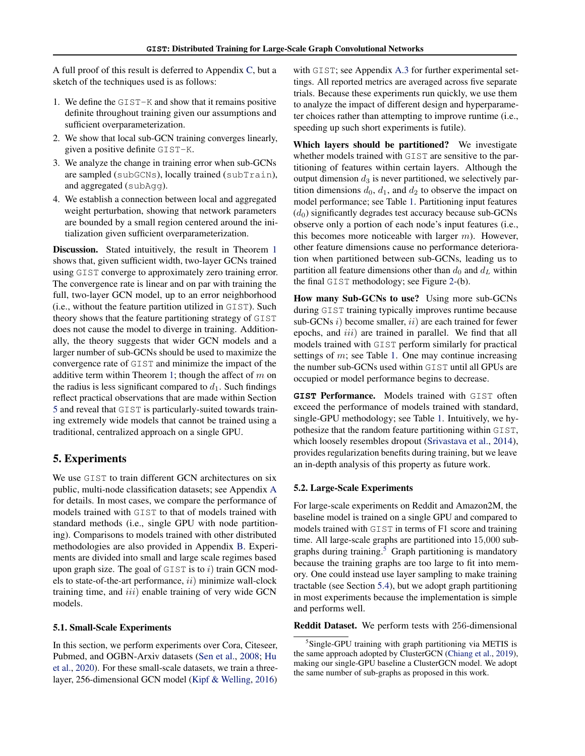A full proof of this result is deferred to Appendix [C,](#page-14-1) but a sketch of the techniques used is as follows:

- 1. We define the GIST-K and show that it remains positive definite throughout training given our assumptions and sufficient overparameterization.
- 2. We show that local sub-GCN training converges linearly, given a positive definite GIST-K.
- 3. We analyze the change in training error when sub-GCNs are sampled (subGCNs), locally trained (subTrain), and aggregated (subAgg).
- 4. We establish a connection between local and aggregated weight perturbation, showing that network parameters are bounded by a small region centered around the initialization given sufficient overparameterization.

Discussion. Stated intuitively, the result in Theorem [1](#page-4-2) shows that, given sufficient width, two-layer GCNs trained using GIST converge to approximately zero training error. The convergence rate is linear and on par with training the full, two-layer GCN model, up to an error neighborhood (i.e., without the feature partition utilized in GIST). Such theory shows that the feature partitioning strategy of GIST does not cause the model to diverge in training. Additionally, the theory suggests that wider GCN models and a larger number of sub-GCNs should be used to maximize the convergence rate of GIST and minimize the impact of the additive term within Theorem [1;](#page-4-2) though the affect of  $m$  on the radius is less significant compared to  $d_1$ . Such findings reflect practical observations that are made within Section [5](#page-5-2) and reveal that GIST is particularly-suited towards training extremely wide models that cannot be trained using a traditional, centralized approach on a single GPU.

# <span id="page-5-2"></span>5. Experiments

We use GIST to train different GCN architectures on six public, multi-node classification datasets; see Appendix [A](#page-11-0) for details. In most cases, we compare the performance of models trained with GIST to that of models trained with standard methods (i.e., single GPU with node partitioning). Comparisons to models trained with other distributed methodologies are also provided in Appendix [B.](#page-13-0) Experiments are divided into small and large scale regimes based upon graph size. The goal of  $GIST$  is to i) train GCN models to state-of-the-art performance,  $ii)$  minimize wall-clock training time, and  $iii$ ) enable training of very wide GCN models.

#### <span id="page-5-0"></span>5.1. Small-Scale Experiments

In this section, we perform experiments over Cora, Citeseer, Pubmed, and OGBN-Arxiv datasets [\(Sen et al.,](#page-9-21) [2008;](#page-9-21) [Hu](#page-8-24) [et al.,](#page-8-24) [2020\)](#page-8-24). For these small-scale datasets, we train a threelayer, 256-dimensional GCN model [\(Kipf & Welling,](#page-8-5) [2016\)](#page-8-5) with GIST; see Appendix [A.3](#page-11-1) for further experimental settings. All reported metrics are averaged across five separate trials. Because these experiments run quickly, we use them to analyze the impact of different design and hyperparameter choices rather than attempting to improve runtime (i.e., speeding up such short experiments is futile).

Which layers should be partitioned? We investigate whether models trained with GIST are sensitive to the partitioning of features within certain layers. Although the output dimension  $d_3$  is never partitioned, we selectively partition dimensions  $d_0$ ,  $d_1$ , and  $d_2$  to observe the impact on model performance; see Table [1.](#page-6-0) Partitioning input features  $(d_0)$  significantly degrades test accuracy because sub-GCNs observe only a portion of each node's input features (i.e., this becomes more noticeable with larger  $m$ ). However, other feature dimensions cause no performance deterioration when partitioned between sub-GCNs, leading us to partition all feature dimensions other than  $d_0$  and  $d_L$  within the final GIST methodology; see Figure [2-](#page-2-0)(b).

How many Sub-GCNs to use? Using more sub-GCNs during GIST training typically improves runtime because sub-GCNs  $i)$  become smaller,  $ii)$  are each trained for fewer epochs, and *iii*) are trained in parallel. We find that all models trained with GIST perform similarly for practical settings of  $m$ ; see Table [1.](#page-6-0) One may continue increasing the number sub-GCNs used within GIST until all GPUs are occupied or model performance begins to decrease.

**GIST** Performance. Models trained with GIST often exceed the performance of models trained with standard, single-GPU methodology; see Table [1.](#page-6-0) Intuitively, we hypothesize that the random feature partitioning within GIST, which loosely resembles dropout [\(Srivastava et al.,](#page-9-22) [2014\)](#page-9-22), provides regularization benefits during training, but we leave an in-depth analysis of this property as future work.

#### <span id="page-5-1"></span>5.2. Large-Scale Experiments

For large-scale experiments on Reddit and Amazon2M, the baseline model is trained on a single GPU and compared to models trained with GIST in terms of F1 score and training time. All large-scale graphs are partitioned into 15,000 sub-graphs during training.<sup>[5](#page-5-3)</sup> Graph partitioning is mandatory because the training graphs are too large to fit into memory. One could instead use layer sampling to make training tractable (see Section [5.4\)](#page-7-0), but we adopt graph partitioning in most experiments because the implementation is simple and performs well.

Reddit Dataset. We perform tests with 256-dimensional

<span id="page-5-3"></span><sup>&</sup>lt;sup>5</sup>Single-GPU training with graph partitioning via METIS is the same approach adopted by ClusterGCN [\(Chiang et al.,](#page-8-11) [2019\)](#page-8-11), making our single-GPU baseline a ClusterGCN model. We adopt the same number of sub-graphs as proposed in this work.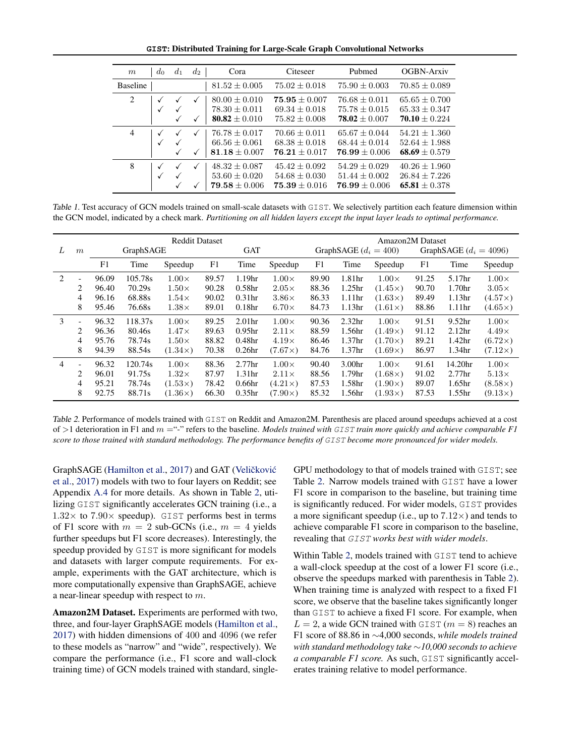<span id="page-6-0"></span>**GIST**: Distributed Training for Large-Scale Graph Convolutional Networks

| m               | $d_0$             | $d_1$        | $d_2$             | Cora                                                        | Citeseer                                                | Pubmed                                                | OGBN-Arxiv                                              |
|-----------------|-------------------|--------------|-------------------|-------------------------------------------------------------|---------------------------------------------------------|-------------------------------------------------------|---------------------------------------------------------|
| <b>Baseline</b> |                   |              |                   | $81.52 \pm 0.005$                                           | $75.02 + 0.018$                                         | $75.90 + 0.003$                                       | $70.85 + 0.089$                                         |
| 2               | $\checkmark$<br>√ |              | ✓<br>$\checkmark$ | $80.00 \pm 0.010$<br>$78.30 + 0.011$<br>80.82 $\pm$ 0.010   | $75.95 + 0.007$<br>$69.34 + 0.018$<br>$75.82 + 0.008$   | $76.68 + 0.011$<br>$75.78 + 0.015$<br>$78.02 + 0.007$ | $65.65 + 0.700$<br>$65.33 + 0.347$<br>$70.10 + 0.224$   |
| $\overline{4}$  | √                 | $\checkmark$ | $\checkmark$      | $76.78 + 0.017$<br>$66.56 \pm 0.061$<br>$81.18 \pm 0.007$   | $70.66 + 0.011$<br>$68.38 \pm 0.018$<br>$76.21 + 0.017$ | $65.67 + 0.044$<br>$68.44 + 0.014$<br>$76.99 + 0.006$ | $54.21 + 1.360$<br>$52.64 + 1.988$<br>68.69 $\pm$ 0.579 |
| 8               | √<br>✓            |              | ✓<br>✓            | $48.32 \pm 0.087$<br>$53.60 \pm 0.020$<br>$79.58 \pm 0.006$ | $45.42 \pm 0.092$<br>$54.68 + 0.030$<br>$75.39 + 0.016$ | $54.29 + 0.029$<br>$51.44 + 0.002$<br>$76.99 + 0.006$ | $40.26 + 1.960$<br>$26.84 + 7.226$<br>$65.81 + 0.378$   |

Table 1. Test accuracy of GCN models trained on small-scale datasets with GIST. We selectively partition each feature dimension within the GCN model, indicated by a check mark. *Partitioning on all hidden layers except the input layer leads to optimal performance.*

|                |                          |       |           | <b>Reddit Dataset</b> |                |                    |                |       |                         | Amazon2M Dataset |       |                          |                |
|----------------|--------------------------|-------|-----------|-----------------------|----------------|--------------------|----------------|-------|-------------------------|------------------|-------|--------------------------|----------------|
| L              | $\boldsymbol{m}$         |       | GraphSAGE |                       |                | <b>GAT</b>         |                |       | GraphSAGE $(d_i = 400)$ |                  |       | GraphSAGE $(d_i = 4096)$ |                |
|                |                          | F1    | Time      | Speedup               | F <sub>1</sub> | Time               | Speedup        | F1    | Time                    | Speedup          | F1    | Time                     | Speedup        |
| 2              | $\overline{\phantom{a}}$ | 96.09 | 105.78s   | $1.00\times$          | 89.57          | 1.19 <sub>hr</sub> | $1.00\times$   | 89.90 | 1.81 <sub>hr</sub>      | $1.00\times$     | 91.25 | 5.17hr                   | $1.00\times$   |
|                | 2                        | 96.40 | 70.29s    | $1.50\times$          | 90.28          | 0.58 <sub>hr</sub> | $2.05\times$   | 88.36 | 1.25 <sub>hr</sub>      | $(1.45\times)$   | 90.70 | 1.70 <sub>hr</sub>       | $3.05\times$   |
|                | 4                        | 96.16 | 68.88s    | $1.54\times$          | 90.02          | 0.31 <sub>hr</sub> | $3.86\times$   | 86.33 | 1.11 <sub>hr</sub>      | $(1.63\times)$   | 89.49 | 1.13 <sub>hr</sub>       | $(4.57\times)$ |
|                | 8                        | 95.46 | 76.68s    | $1.38\times$          | 89.01          | 0.18 <sub>hr</sub> | $6.70\times$   | 84.73 | 1.13 <sub>hr</sub>      | $(1.61\times)$   | 88.86 | 1.11 <sub>hr</sub>       | $(4.65\times)$ |
| 3              | $\overline{\phantom{a}}$ | 96.32 | 118.37s   | $1.00\times$          | 89.25          | 2.01 <sub>hr</sub> | $1.00\times$   | 90.36 | 2.32 <sub>hr</sub>      | $1.00\times$     | 91.51 | 9.52 <sub>hr</sub>       | $1.00\times$   |
|                | 2                        | 96.36 | 80.46s    | $1.47\times$          | 89.63          | 0.95 <sub>hr</sub> | $2.11\times$   | 88.59 | 1.56hr                  | $(1.49\times)$   | 91.12 | 2.12 <sub>hr</sub>       | $4.49\times$   |
|                | 4                        | 95.76 | 78.74s    | $1.50\times$          | 88.82          | 0.48 <sub>hr</sub> | $4.19\times$   | 86.46 | 1.37 <sub>hr</sub>      | $(1.70\times)$   | 89.21 | 1.42 <sub>hr</sub>       | $(6.72\times)$ |
|                | 8                        | 94.39 | 88.54s    | $(1.34\times)$        | 70.38          | 0.26 <sub>hr</sub> | $(7.67\times)$ | 84.76 | 1.37 <sub>hr</sub>      | $(1.69\times)$   | 86.97 | 1.34hr                   | $(7.12\times)$ |
| $\overline{4}$ | ۰                        | 96.32 | 120.74s   | $1.00\times$          | 88.36          | 2.77 <sub>hr</sub> | $1.00\times$   | 90.40 | 3.00 <sub>hr</sub>      | $1.00\times$     | 91.61 | 14.20 <sub>hr</sub>      | $1.00\times$   |
|                | 2                        | 96.01 | 91.75s    | $1.32\times$          | 87.97          | 1.31 <sub>hr</sub> | $2.11\times$   | 88.56 | 1.79hr                  | $(1.68\times)$   | 91.02 | 2.77 <sub>hr</sub>       | $5.13\times$   |
|                | 4                        | 95.21 | 78.74s    | $(1.53\times)$        | 78.42          | 0.66 <sub>hr</sub> | $(4.21\times)$ | 87.53 | 1.58hr                  | $(1.90\times)$   | 89.07 | 1.65 <sub>hr</sub>       | $(8.58\times)$ |
|                | 8                        | 92.75 | 88.71s    | $(1.36\times)$        | 66.30          | 0.35 <sub>hr</sub> | $(7.90\times)$ | 85.32 | 1.56hr                  | $(1.93\times)$   | 87.53 | 1.55 <sub>hr</sub>       | $(9.13\times)$ |

Table 2. Performance of models trained with GIST on Reddit and Amazon2M. Parenthesis are placed around speedups achieved at a cost of >1 deterioration in F1 and m ="-" refers to the baseline. *Models trained with* GIST *train more quickly and achieve comparable F1 score to those trained with standard methodology. The performance benefits of* GIST *become more pronounced for wider models.*

GraphSAGE [\(Hamilton et al.,](#page-8-10) [2017\)](#page-8-10) and GAT (Veličković [et al.,](#page-9-5) [2017\)](#page-9-5) models with two to four layers on Reddit; see Appendix [A.4](#page-12-0) for more details. As shown in Table [2,](#page-6-1) utilizing GIST significantly accelerates GCN training (i.e., a  $1.32\times$  to  $7.90\times$  speedup). GIST performs best in terms of F1 score with  $m = 2$  sub-GCNs (i.e.,  $m = 4$  yields further speedups but F1 score decreases). Interestingly, the speedup provided by GIST is more significant for models and datasets with larger compute requirements. For example, experiments with the GAT architecture, which is more computationally expensive than GraphSAGE, achieve a near-linear speedup with respect to m.

Amazon2M Dataset. Experiments are performed with two, three, and four-layer GraphSAGE models [\(Hamilton et al.,](#page-8-10) [2017\)](#page-8-10) with hidden dimensions of 400 and 4096 (we refer to these models as "narrow" and "wide", respectively). We compare the performance (i.e., F1 score and wall-clock training time) of GCN models trained with standard, single<span id="page-6-1"></span>GPU methodology to that of models trained with GIST; see Table [2.](#page-6-1) Narrow models trained with GIST have a lower F1 score in comparison to the baseline, but training time is significantly reduced. For wider models, GIST provides a more significant speedup (i.e., up to  $7.12\times$ ) and tends to achieve comparable F1 score in comparison to the baseline, revealing that GIST *works best with wider models*.

Within Table [2,](#page-6-1) models trained with GIST tend to achieve a wall-clock speedup at the cost of a lower F1 score (i.e., observe the speedups marked with parenthesis in Table [2\)](#page-6-1). When training time is analyzed with respect to a fixed F1 score, we observe that the baseline takes significantly longer than GIST to achieve a fixed F1 score. For example, when  $L = 2$ , a wide GCN trained with GIST ( $m = 8$ ) reaches an F1 score of 88.86 in ∼4,000 seconds, *while models trained with standard methodology take* ∼*10,000 seconds to achieve a comparable F1 score.* As such, GIST significantly accelerates training relative to model performance.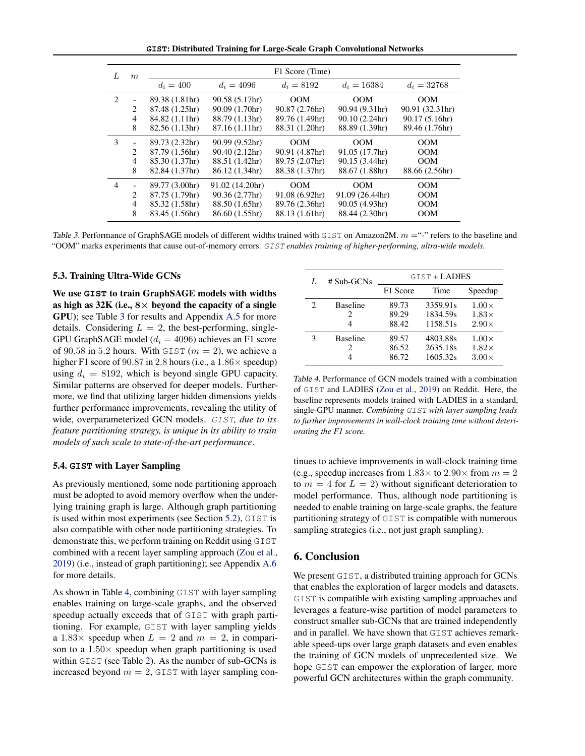**GIST**: Distributed Training for Large-Scale Graph Convolutional Networks

| L | $\boldsymbol{m}$ |                |                 | F1 Score (Time) |                 |                 |
|---|------------------|----------------|-----------------|-----------------|-----------------|-----------------|
|   |                  | $d_i = 400$    | $d_i = 4096$    | $d_i = 8192$    | $d_i = 16384$   | $d_i = 32768$   |
| 2 |                  | 89.38 (1.81hr) | 90.58 (5.17hr)  | <b>OOM</b>      | <b>OOM</b>      | <b>OOM</b>      |
|   | 2                | 87.48 (1.25hr) | 90.09 (1.70hr)  | 90.87 (2.76hr)  | 90.94 (9.31hr)  | 90.91 (32.31hr) |
|   | $\overline{4}$   | 84.82 (1.11hr) | 88.79 (1.13hr)  | 89.76 (1.49hr)  | 90.10(2.24hr)   | 90.17 (5.16hr)  |
|   | 8                | 82.56(1.13hr)  | 87.16 (1.11hr)  | 88.31 (1.20hr)  | 88.89 (1.39hr)  | 89.46 (1.76hr)  |
| 3 |                  | 89.73 (2.32hr) | 90.99 (9.52hr)  | OM              | OM              | OM              |
|   | 2                | 87.79 (1.56hr) | 90.40(2.12hr)   | 90.91 (4.87hr)  | 91.05 (17.7hr)  | <b>OOM</b>      |
|   | $\overline{4}$   | 85.30 (1.37hr) | 88.51 (1.42hr)  | 89.75 (2.07hr)  | 90.15 (3.44hr)  | <b>OOM</b>      |
|   | 8                | 82.84 (1.37hr) | 86.12 (1.34hr)  | 88.38 (1.37hr)  | 88.67 (1.88hr)  | 88.66 (2.56hr)  |
| 4 |                  | 89.77 (3.00hr) | 91.02 (14.20hr) | OM              | OM              | <b>OOM</b>      |
|   | $\mathfrak{D}$   | 87.75 (1.79hr) | 90.36 (2.77hr)  | 91.08(6.92hr)   | 91.09 (26.44hr) | <b>OOM</b>      |
|   | $\overline{4}$   | 85.32 (1.58hr) | 88.50 (1.65hr)  | 89.76 (2.36hr)  | 90.05 (4.93hr)  | <b>OOM</b>      |
|   | 8                | 83.45 (1.56hr) | 86.60 (1.55hr)  | 88.13 (1.61hr)  | 88.44 (2.30hr)  | <b>OOM</b>      |

Table 3. Performance of GraphSAGE models of different widths trained with GIST on Amazon2M.  $m =$ "-" refers to the baseline and "OOM" marks experiments that cause out-of-memory errors. GIST *enables training of higher-performing, ultra-wide models.*

#### <span id="page-7-3"></span>5.3. Training Ultra-Wide GCNs

We use **GIST** to train GraphSAGE models with widths as high as  $32K$  (i.e.,  $8 \times$  beyond the capacity of a single GPU); see Table [3](#page-7-1) for results and Appendix [A.5](#page-12-1) for more details. Considering  $L = 2$ , the best-performing, single-GPU GraphSAGE model ( $d_i = 4096$ ) achieves an F1 score of 90.58 in 5.2 hours. With GIST ( $m = 2$ ), we achieve a higher F1 score of 90.87 in 2.8 hours (i.e., a  $1.86 \times$  speedup) using  $d_i = 8192$ , which is beyond single GPU capacity. Similar patterns are observed for deeper models. Furthermore, we find that utilizing larger hidden dimensions yields further performance improvements, revealing the utility of wide, overparameterized GCN models. GIST*, due to its feature partitioning strategy, is unique in its ability to train models of such scale to state-of-the-art performance*.

### <span id="page-7-0"></span>5.4. **GIST** with Layer Sampling

As previously mentioned, some node partitioning approach must be adopted to avoid memory overflow when the underlying training graph is large. Although graph partitioning is used within most experiments (see Section [5.2\)](#page-5-1), GIST is also compatible with other node partitioning strategies. To demonstrate this, we perform training on Reddit using GIST combined with a recent layer sampling approach [\(Zou et al.,](#page-10-0) [2019\)](#page-10-0) (i.e., instead of graph partitioning); see Appendix [A.6](#page-12-2) for more details.

As shown in Table [4,](#page-7-2) combining GIST with layer sampling enables training on large-scale graphs, and the observed speedup actually exceeds that of GIST with graph partitioning. For example, GIST with layer sampling yields a  $1.83 \times$  speedup when  $L = 2$  and  $m = 2$ , in comparison to a  $1.50\times$  speedup when graph partitioning is used within GIST (see Table [2\)](#page-6-1). As the number of sub-GCNs is increased beyond  $m = 2$ , GIST with layer sampling con-

<span id="page-7-2"></span><span id="page-7-1"></span>

| Τ. | $# Sub-GCNs$         |                         | GIST + LADIES                    |                                              |
|----|----------------------|-------------------------|----------------------------------|----------------------------------------------|
|    |                      | F1 Score                | Time                             | Speedup                                      |
| 2  | <b>Baseline</b><br>2 | 89.73<br>89.29<br>88.42 | 3359.91s<br>1834.59s<br>1158.51s | $1.00\times$<br>$1.83\times$<br>$2.90\times$ |
|    | <b>Baseline</b><br>2 | 89.57<br>86.52<br>86.72 | 4803.88s<br>2635.18s<br>1605.32s | $1.00\times$<br>$1.82\times$<br>$3.00\times$ |

Table 4. Performance of GCN models trained with a combination of GIST and LADIES [\(Zou et al.,](#page-10-0) [2019\)](#page-10-0) on Reddit. Here, the baseline represents models trained with LADIES in a standard, single-GPU manner. *Combining* GIST *with layer sampling leads to further improvements in wall-clock training time without deteriorating the F1 score.*

tinues to achieve improvements in wall-clock training time (e.g., speedup increases from  $1.83 \times$  to  $2.90 \times$  from  $m = 2$ to  $m = 4$  for  $L = 2$ ) without significant deterioration to model performance. Thus, although node partitioning is needed to enable training on large-scale graphs, the feature partitioning strategy of GIST is compatible with numerous sampling strategies (i.e., not just graph sampling).

## 6. Conclusion

We present GIST, a distributed training approach for GCNs that enables the exploration of larger models and datasets. GIST is compatible with existing sampling approaches and leverages a feature-wise partition of model parameters to construct smaller sub-GCNs that are trained independently and in parallel. We have shown that GIST achieves remarkable speed-ups over large graph datasets and even enables the training of GCN models of unprecedented size. We hope GIST can empower the exploration of larger, more powerful GCN architectures within the graph community.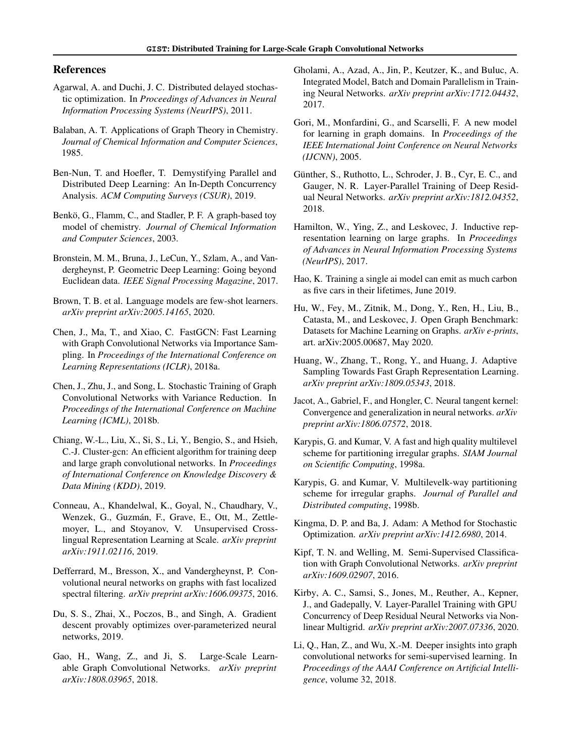### References

- <span id="page-8-18"></span>Agarwal, A. and Duchi, J. C. Distributed delayed stochastic optimization. In *Proceedings of Advances in Neural Information Processing Systems (NeurIPS)*, 2011.
- <span id="page-8-1"></span>Balaban, A. T. Applications of Graph Theory in Chemistry. *Journal of Chemical Information and Computer Sciences*, 1985.
- <span id="page-8-19"></span>Ben-Nun, T. and Hoefler, T. Demystifying Parallel and Distributed Deep Learning: An In-Depth Concurrency Analysis. *ACM Computing Surveys (CSUR)*, 2019.
- <span id="page-8-2"></span>Benkö, G., Flamm, C., and Stadler, P. F. A graph-based toy model of chemistry. *Journal of Chemical Information and Computer Sciences*, 2003.
- <span id="page-8-0"></span>Bronstein, M. M., Bruna, J., LeCun, Y., Szlam, A., and Vandergheynst, P. Geometric Deep Learning: Going beyond Euclidean data. *IEEE Signal Processing Magazine*, 2017.
- <span id="page-8-12"></span>Brown, T. B. et al. Language models are few-shot learners. *arXiv preprint arXiv:2005.14165*, 2020.
- <span id="page-8-7"></span>Chen, J., Ma, T., and Xiao, C. FastGCN: Fast Learning with Graph Convolutional Networks via Importance Sampling. In *Proceedings of the International Conference on Learning Representations (ICLR)*, 2018a.
- <span id="page-8-6"></span>Chen, J., Zhu, J., and Song, L. Stochastic Training of Graph Convolutional Networks with Variance Reduction. In *Proceedings of the International Conference on Machine Learning (ICML)*, 2018b.
- <span id="page-8-11"></span>Chiang, W.-L., Liu, X., Si, S., Li, Y., Bengio, S., and Hsieh, C.-J. Cluster-gcn: An efficient algorithm for training deep and large graph convolutional networks. In *Proceedings of International Conference on Knowledge Discovery & Data Mining (KDD)*, 2019.
- <span id="page-8-13"></span>Conneau, A., Khandelwal, K., Goyal, N., Chaudhary, V., Wenzek, G., Guzmán, F., Grave, E., Ott, M., Zettlemoyer, L., and Stoyanov, V. Unsupervised Crosslingual Representation Learning at Scale. *arXiv preprint arXiv:1911.02116*, 2019.
- <span id="page-8-3"></span>Defferrard, M., Bresson, X., and Vandergheynst, P. Convolutional neural networks on graphs with fast localized spectral filtering. *arXiv preprint arXiv:1606.09375*, 2016.
- <span id="page-8-26"></span>Du, S. S., Zhai, X., Poczos, B., and Singh, A. Gradient descent provably optimizes over-parameterized neural networks, 2019.
- <span id="page-8-8"></span>Gao, H., Wang, Z., and Ji, S. Large-Scale Learnable Graph Convolutional Networks. *arXiv preprint arXiv:1808.03965*, 2018.
- <span id="page-8-20"></span>Gholami, A., Azad, A., Jin, P., Keutzer, K., and Buluc, A. Integrated Model, Batch and Domain Parallelism in Training Neural Networks. *arXiv preprint arXiv:1712.04432*, 2017.
- <span id="page-8-4"></span>Gori, M., Monfardini, G., and Scarselli, F. A new model for learning in graph domains. In *Proceedings of the IEEE International Joint Conference on Neural Networks (IJCNN)*, 2005.
- <span id="page-8-21"></span>Günther, S., Ruthotto, L., Schroder, J. B., Cyr, E. C., and Gauger, N. R. Layer-Parallel Training of Deep Residual Neural Networks. *arXiv preprint arXiv:1812.04352*, 2018.
- <span id="page-8-10"></span>Hamilton, W., Ying, Z., and Leskovec, J. Inductive representation learning on large graphs. In *Proceedings of Advances in Neural Information Processing Systems (NeurIPS)*, 2017.
- <span id="page-8-14"></span>Hao, K. Training a single ai model can emit as much carbon as five cars in their lifetimes, June 2019.
- <span id="page-8-24"></span>Hu, W., Fey, M., Zitnik, M., Dong, Y., Ren, H., Liu, B., Catasta, M., and Leskovec, J. Open Graph Benchmark: Datasets for Machine Learning on Graphs. *arXiv e-prints*, art. arXiv:2005.00687, May 2020.
- <span id="page-8-9"></span>Huang, W., Zhang, T., Rong, Y., and Huang, J. Adaptive Sampling Towards Fast Graph Representation Learning. *arXiv preprint arXiv:1809.05343*, 2018.
- <span id="page-8-23"></span>Jacot, A., Gabriel, F., and Hongler, C. Neural tangent kernel: Convergence and generalization in neural networks. *arXiv preprint arXiv:1806.07572*, 2018.
- <span id="page-8-16"></span>Karypis, G. and Kumar, V. A fast and high quality multilevel scheme for partitioning irregular graphs. *SIAM Journal on Scientific Computing*, 1998a.
- <span id="page-8-17"></span>Karypis, G. and Kumar, V. Multilevelk-way partitioning scheme for irregular graphs. *Journal of Parallel and Distributed computing*, 1998b.
- <span id="page-8-25"></span>Kingma, D. P. and Ba, J. Adam: A Method for Stochastic Optimization. *arXiv preprint arXiv:1412.6980*, 2014.
- <span id="page-8-5"></span>Kipf, T. N. and Welling, M. Semi-Supervised Classification with Graph Convolutional Networks. *arXiv preprint arXiv:1609.02907*, 2016.
- <span id="page-8-22"></span>Kirby, A. C., Samsi, S., Jones, M., Reuther, A., Kepner, J., and Gadepally, V. Layer-Parallel Training with GPU Concurrency of Deep Residual Neural Networks via Nonlinear Multigrid. *arXiv preprint arXiv:2007.07336*, 2020.
- <span id="page-8-15"></span>Li, Q., Han, Z., and Wu, X.-M. Deeper insights into graph convolutional networks for semi-supervised learning. In *Proceedings of the AAAI Conference on Artificial Intelligence*, volume 32, 2018.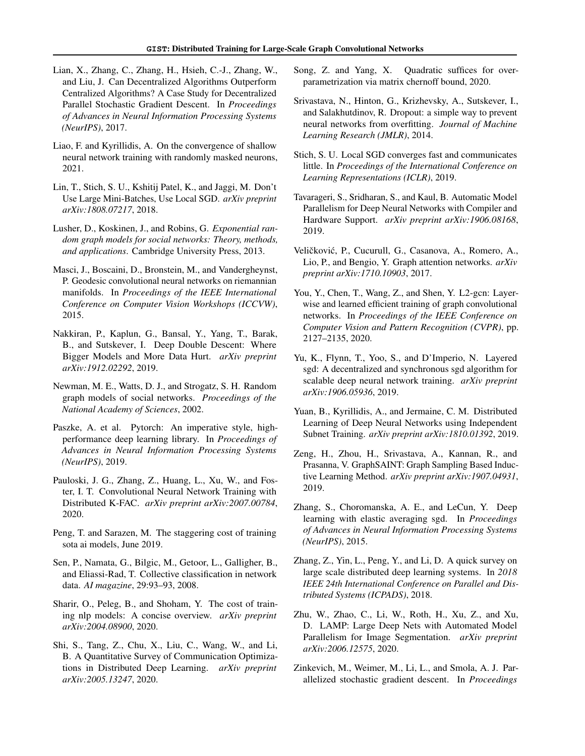- <span id="page-9-12"></span>Lian, X., Zhang, C., Zhang, H., Hsieh, C.-J., Zhang, W., and Liu, J. Can Decentralized Algorithms Outperform Centralized Algorithms? A Case Study for Decentralized Parallel Stochastic Gradient Descent. In *Proceedings of Advances in Neural Information Processing Systems (NeurIPS)*, 2017.
- <span id="page-9-24"></span>Liao, F. and Kyrillidis, A. On the convergence of shallow neural network training with randomly masked neurons, 2021.
- <span id="page-9-9"></span>Lin, T., Stich, S. U., Kshitij Patel, K., and Jaggi, M. Don't Use Large Mini-Batches, Use Local SGD. *arXiv preprint arXiv:1808.07217*, 2018.
- <span id="page-9-0"></span>Lusher, D., Koskinen, J., and Robins, G. *Exponential random graph models for social networks: Theory, methods, and applications*. Cambridge University Press, 2013.
- <span id="page-9-2"></span>Masci, J., Boscaini, D., Bronstein, M., and Vandergheynst, P. Geodesic convolutional neural networks on riemannian manifolds. In *Proceedings of the IEEE International Conference on Computer Vision Workshops (ICCVW)*, 2015.
- <span id="page-9-8"></span>Nakkiran, P., Kaplun, G., Bansal, Y., Yang, T., Barak, B., and Sutskever, I. Deep Double Descent: Where Bigger Models and More Data Hurt. *arXiv preprint arXiv:1912.02292*, 2019.
- <span id="page-9-1"></span>Newman, M. E., Watts, D. J., and Strogatz, S. H. Random graph models of social networks. *Proceedings of the National Academy of Sciences*, 2002.
- <span id="page-9-23"></span>Paszke, A. et al. Pytorch: An imperative style, highperformance deep learning library. In *Proceedings of Advances in Neural Information Processing Systems (NeurIPS)*, 2019.
- <span id="page-9-17"></span>Pauloski, J. G., Zhang, Z., Huang, L., Xu, W., and Foster, I. T. Convolutional Neural Network Training with Distributed K-FAC. *arXiv preprint arXiv:2007.00784*, 2020.
- <span id="page-9-6"></span>Peng, T. and Sarazen, M. The staggering cost of training sota ai models, June 2019.
- <span id="page-9-21"></span>Sen, P., Namata, G., Bilgic, M., Getoor, L., Galligher, B., and Eliassi-Rad, T. Collective classification in network data. *AI magazine*, 29:93–93, 2008.
- <span id="page-9-7"></span>Sharir, O., Peleg, B., and Shoham, Y. The cost of training nlp models: A concise overview. *arXiv preprint arXiv:2004.08900*, 2020.
- <span id="page-9-10"></span>Shi, S., Tang, Z., Chu, X., Liu, C., Wang, W., and Li, B. A Quantitative Survey of Communication Optimizations in Distributed Deep Learning. *arXiv preprint arXiv:2005.13247*, 2020.
- <span id="page-9-25"></span>Song, Z. and Yang, X. Quadratic suffices for overparametrization via matrix chernoff bound, 2020.
- <span id="page-9-22"></span>Srivastava, N., Hinton, G., Krizhevsky, A., Sutskever, I., and Salakhutdinov, R. Dropout: a simple way to prevent neural networks from overfitting. *Journal of Machine Learning Research (JMLR)*, 2014.
- <span id="page-9-16"></span>Stich, S. U. Local SGD converges fast and communicates little. In *Proceedings of the International Conference on Learning Representations (ICLR)*, 2019.
- <span id="page-9-18"></span>Tavarageri, S., Sridharan, S., and Kaul, B. Automatic Model Parallelism for Deep Neural Networks with Compiler and Hardware Support. *arXiv preprint arXiv:1906.08168*, 2019.
- <span id="page-9-5"></span>Veličković, P., Cucurull, G., Casanova, A., Romero, A., Lio, P., and Bengio, Y. Graph attention networks. *arXiv preprint arXiv:1710.10903*, 2017.
- <span id="page-9-3"></span>You, Y., Chen, T., Wang, Z., and Shen, Y. L2-gcn: Layerwise and learned efficient training of graph convolutional networks. In *Proceedings of the IEEE Conference on Computer Vision and Pattern Recognition (CVPR)*, pp. 2127–2135, 2020.
- <span id="page-9-13"></span>Yu, K., Flynn, T., Yoo, S., and D'Imperio, N. Layered sgd: A decentralized and synchronous sgd algorithm for scalable deep neural network training. *arXiv preprint arXiv:1906.05936*, 2019.
- <span id="page-9-20"></span>Yuan, B., Kyrillidis, A., and Jermaine, C. M. Distributed Learning of Deep Neural Networks using Independent Subnet Training. *arXiv preprint arXiv:1810.01392*, 2019.
- <span id="page-9-4"></span>Zeng, H., Zhou, H., Srivastava, A., Kannan, R., and Prasanna, V. GraphSAINT: Graph Sampling Based Inductive Learning Method. *arXiv preprint arXiv:1907.04931*, 2019.
- <span id="page-9-14"></span>Zhang, S., Choromanska, A. E., and LeCun, Y. Deep learning with elastic averaging sgd. In *Proceedings of Advances in Neural Information Processing Systems (NeurIPS)*, 2015.
- <span id="page-9-11"></span>Zhang, Z., Yin, L., Peng, Y., and Li, D. A quick survey on large scale distributed deep learning systems. In *2018 IEEE 24th International Conference on Parallel and Distributed Systems (ICPADS)*, 2018.
- <span id="page-9-19"></span>Zhu, W., Zhao, C., Li, W., Roth, H., Xu, Z., and Xu, D. LAMP: Large Deep Nets with Automated Model Parallelism for Image Segmentation. *arXiv preprint arXiv:2006.12575*, 2020.
- <span id="page-9-15"></span>Zinkevich, M., Weimer, M., Li, L., and Smola, A. J. Parallelized stochastic gradient descent. In *Proceedings*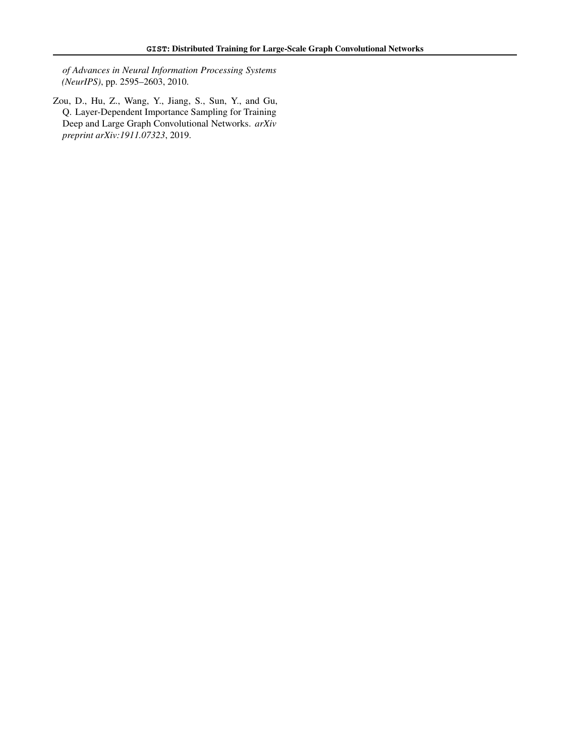*of Advances in Neural Information Processing Systems (NeurIPS)*, pp. 2595–2603, 2010.

<span id="page-10-0"></span>Zou, D., Hu, Z., Wang, Y., Jiang, S., Sun, Y., and Gu, Q. Layer-Dependent Importance Sampling for Training Deep and Large Graph Convolutional Networks. *arXiv preprint arXiv:1911.07323*, 2019.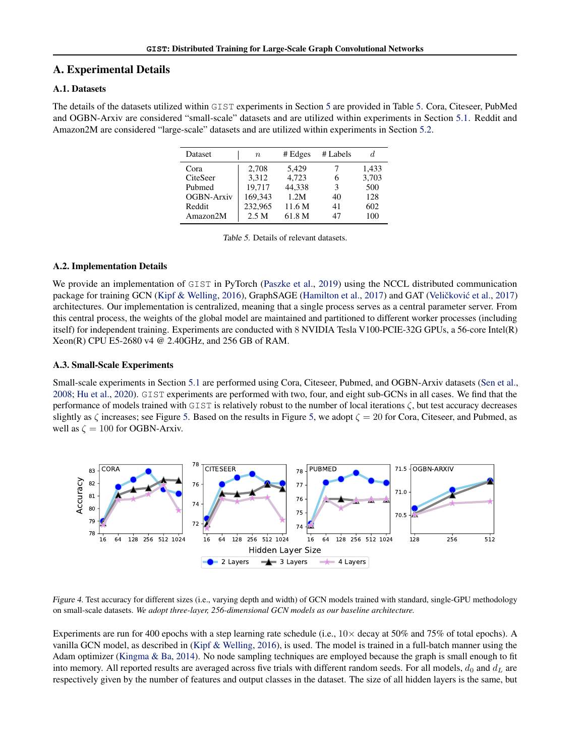# <span id="page-11-0"></span>A. Experimental Details

## A.1. Datasets

The details of the datasets utilized within GIST experiments in Section [5](#page-5-2) are provided in Table [5.](#page-11-2) Cora, Citeseer, PubMed and OGBN-Arxiv are considered "small-scale" datasets and are utilized within experiments in Section [5.1.](#page-5-0) Reddit and Amazon2M are considered "large-scale" datasets and are utilized within experiments in Section [5.2.](#page-5-1)

| Dataset           | $\, n$  | # Edges | # Labels |       |
|-------------------|---------|---------|----------|-------|
| Cora              | 2,708   | 5.429   |          | 1,433 |
| CiteSeer          | 3,312   | 4.723   | 6        | 3,703 |
| Pubmed            | 19.717  | 44,338  | 3        | 500   |
| <b>OGBN-Arxiv</b> | 169,343 | 1.2M    | 40       | 128   |
| Reddit            | 232,965 | 11.6 M  | 41       | 602   |
| Amazon2M          | 2.5 M   | 61.8 M  | 47       | 100   |

<span id="page-11-2"></span>

### A.2. Implementation Details

We provide an implementation of GIST in PyTorch [\(Paszke et al.,](#page-9-23) [2019\)](#page-9-23) using the NCCL distributed communication package for training GCN [\(Kipf & Welling,](#page-8-5) [2016\)](#page-8-5), GraphSAGE [\(Hamilton et al.,](#page-8-10) [2017\)](#page-9-5) and GAT (Veličković et al., 2017) architectures. Our implementation is centralized, meaning that a single process serves as a central parameter server. From this central process, the weights of the global model are maintained and partitioned to different worker processes (including itself) for independent training. Experiments are conducted with 8 NVIDIA Tesla V100-PCIE-32G GPUs, a 56-core Intel(R) Xeon(R) CPU E5-2680 v4 @ 2.40GHz, and 256 GB of RAM.

### <span id="page-11-1"></span>A.3. Small-Scale Experiments

Small-scale experiments in Section [5.1](#page-5-0) are performed using Cora, Citeseer, Pubmed, and OGBN-Arxiv datasets [\(Sen et al.,](#page-9-21) [2008;](#page-9-21) [Hu et al.,](#page-8-24) [2020\)](#page-8-24). GIST experiments are performed with two, four, and eight sub-GCNs in all cases. We find that the performance of models trained with GIST is relatively robust to the number of local iterations ζ, but test accuracy decreases slightly as  $\zeta$  increases; see Figure [5.](#page-12-3) Based on the results in Figure [5,](#page-12-3) we adopt  $\zeta = 20$  for Cora, Citeseer, and Pubmed, as well as  $\zeta = 100$  for OGBN-Arxiv.



<span id="page-11-3"></span>Figure 4. Test accuracy for different sizes (i.e., varying depth and width) of GCN models trained with standard, single-GPU methodology on small-scale datasets. *We adopt three-layer, 256-dimensional GCN models as our baseline architecture.*

Experiments are run for 400 epochs with a step learning rate schedule (i.e.,  $10 \times$  decay at 50% and 75% of total epochs). A vanilla GCN model, as described in [\(Kipf & Welling,](#page-8-5) [2016\)](#page-8-5), is used. The model is trained in a full-batch manner using the Adam optimizer [\(Kingma & Ba,](#page-8-25) [2014\)](#page-8-25). No node sampling techniques are employed because the graph is small enough to fit into memory. All reported results are averaged across five trials with different random seeds. For all models,  $d_0$  and  $d_L$  are respectively given by the number of features and output classes in the dataset. The size of all hidden layers is the same, but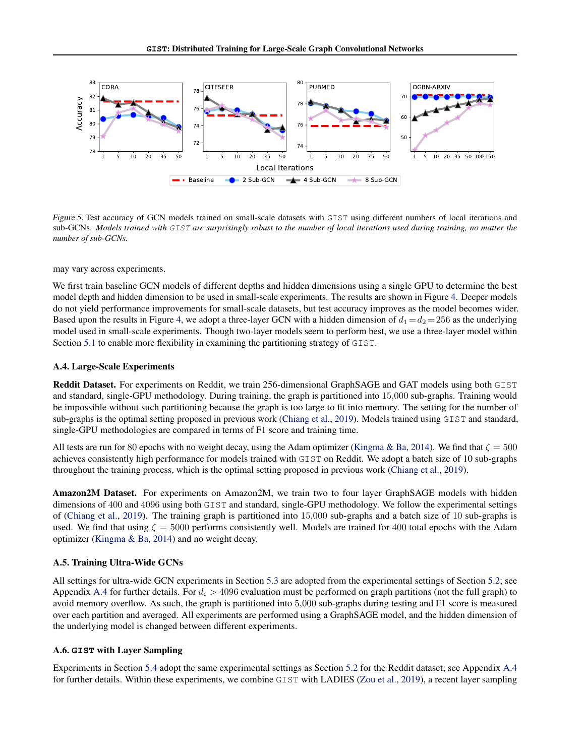

<span id="page-12-3"></span>Figure 5. Test accuracy of GCN models trained on small-scale datasets with GIST using different numbers of local iterations and sub-GCNs. *Models trained with* GIST *are surprisingly robust to the number of local iterations used during training, no matter the number of sub-GCNs.*

may vary across experiments.

We first train baseline GCN models of different depths and hidden dimensions using a single GPU to determine the best model depth and hidden dimension to be used in small-scale experiments. The results are shown in Figure [4.](#page-11-3) Deeper models do not yield performance improvements for small-scale datasets, but test accuracy improves as the model becomes wider. Based upon the results in Figure [4,](#page-11-3) we adopt a three-layer GCN with a hidden dimension of  $d_1 = d_2 = 256$  as the underlying model used in small-scale experiments. Though two-layer models seem to perform best, we use a three-layer model within Section [5.1](#page-5-0) to enable more flexibility in examining the partitioning strategy of GIST.

### <span id="page-12-0"></span>A.4. Large-Scale Experiments

Reddit Dataset. For experiments on Reddit, we train 256-dimensional GraphSAGE and GAT models using both GIST and standard, single-GPU methodology. During training, the graph is partitioned into 15,000 sub-graphs. Training would be impossible without such partitioning because the graph is too large to fit into memory. The setting for the number of sub-graphs is the optimal setting proposed in previous work [\(Chiang et al.,](#page-8-11) [2019\)](#page-8-11). Models trained using GIST and standard, single-GPU methodologies are compared in terms of F1 score and training time.

All tests are run for 80 epochs with no weight decay, using the Adam optimizer [\(Kingma & Ba,](#page-8-25) [2014\)](#page-8-25). We find that  $\zeta = 500$ achieves consistently high performance for models trained with GIST on Reddit. We adopt a batch size of 10 sub-graphs throughout the training process, which is the optimal setting proposed in previous work [\(Chiang et al.,](#page-8-11) [2019\)](#page-8-11).

Amazon2M Dataset. For experiments on Amazon2M, we train two to four layer GraphSAGE models with hidden dimensions of 400 and 4096 using both GIST and standard, single-GPU methodology. We follow the experimental settings of [\(Chiang et al.,](#page-8-11) [2019\)](#page-8-11). The training graph is partitioned into 15,000 sub-graphs and a batch size of 10 sub-graphs is used. We find that using  $\zeta = 5000$  performs consistently well. Models are trained for 400 total epochs with the Adam optimizer [\(Kingma & Ba,](#page-8-25) [2014\)](#page-8-25) and no weight decay.

### <span id="page-12-1"></span>A.5. Training Ultra-Wide GCNs

All settings for ultra-wide GCN experiments in Section [5.3](#page-7-3) are adopted from the experimental settings of Section [5.2;](#page-5-1) see Appendix [A.4](#page-12-0) for further details. For  $d_i > 4096$  evaluation must be performed on graph partitions (not the full graph) to avoid memory overflow. As such, the graph is partitioned into 5,000 sub-graphs during testing and F1 score is measured over each partition and averaged. All experiments are performed using a GraphSAGE model, and the hidden dimension of the underlying model is changed between different experiments.

### <span id="page-12-2"></span>A.6. **GIST** with Layer Sampling

Experiments in Section [5.4](#page-7-0) adopt the same experimental settings as Section [5.2](#page-5-1) for the Reddit dataset; see Appendix [A.4](#page-12-0) for further details. Within these experiments, we combine GIST with LADIES [\(Zou et al.,](#page-10-0) [2019\)](#page-10-0), a recent layer sampling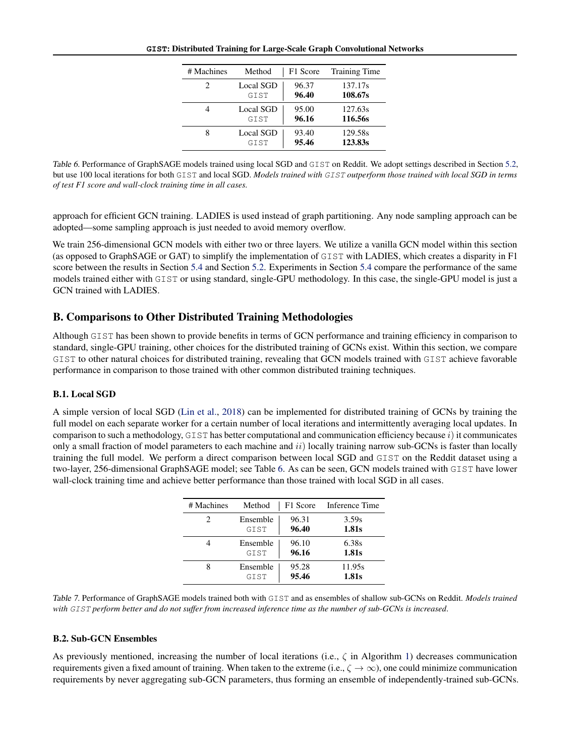**GIST**: Distributed Training for Large-Scale Graph Convolutional Networks

<span id="page-13-1"></span>

| # Machines                  | Method           | F1 Score | <b>Training Time</b> |
|-----------------------------|------------------|----------|----------------------|
| $\mathcal{D}_{\mathcal{A}}$ | Local SGD        | 96.37    | 137.17s              |
|                             | GTST             | 96.40    | 108.67s              |
|                             | Local SGD        | 95.00    | 127.63s              |
|                             | GTST             | 96.16    | 116.56s              |
|                             | <b>Local SGD</b> | 93.40    | 129.58s              |
|                             | GTST             | 95.46    | 123.83s              |

Table 6. Performance of GraphSAGE models trained using local SGD and GIST on Reddit. We adopt settings described in Section [5.2,](#page-5-1) but use 100 local iterations for both GIST and local SGD. *Models trained with* GIST *outperform those trained with local SGD in terms of test F1 score and wall-clock training time in all cases.*

approach for efficient GCN training. LADIES is used instead of graph partitioning. Any node sampling approach can be adopted—some sampling approach is just needed to avoid memory overflow.

We train 256-dimensional GCN models with either two or three layers. We utilize a vanilla GCN model within this section (as opposed to GraphSAGE or GAT) to simplify the implementation of GIST with LADIES, which creates a disparity in F1 score between the results in Section [5.4](#page-7-0) and Section [5.2.](#page-5-1) Experiments in Section 5.4 compare the performance of the same models trained either with GIST or using standard, single-GPU methodology. In this case, the single-GPU model is just a GCN trained with LADIES.

# <span id="page-13-0"></span>B. Comparisons to Other Distributed Training Methodologies

Although GIST has been shown to provide benefits in terms of GCN performance and training efficiency in comparison to standard, single-GPU training, other choices for the distributed training of GCNs exist. Within this section, we compare GIST to other natural choices for distributed training, revealing that GCN models trained with GIST achieve favorable performance in comparison to those trained with other common distributed training techniques.

# B.1. Local SGD

A simple version of local SGD [\(Lin et al.,](#page-9-9) [2018\)](#page-9-9) can be implemented for distributed training of GCNs by training the full model on each separate worker for a certain number of local iterations and intermittently averaging local updates. In comparison to such a methodology, GIST has better computational and communication efficiency because  $i$ ) it communicates only a small fraction of model parameters to each machine and  $ii)$  locally training narrow sub-GCNs is faster than locally training the full model. We perform a direct comparison between local SGD and GIST on the Reddit dataset using a two-layer, 256-dimensional GraphSAGE model; see Table [6.](#page-13-1) As can be seen, GCN models trained with GIST have lower wall-clock training time and achieve better performance than those trained with local SGD in all cases.

<span id="page-13-2"></span>

| # Machines | Method   |       | F1 Score Inference Time |
|------------|----------|-------|-------------------------|
| 2          | Ensemble | 96.31 | 3.59s                   |
|            | GIST     | 96.40 | 1.81s                   |
|            | Ensemble | 96.10 | 6.38s                   |
|            | GIST     | 96.16 | 1.81s                   |
|            | Ensemble | 95.28 | 11.95s                  |
|            | GIST     | 95.46 | 1.81s                   |

Table 7. Performance of GraphSAGE models trained both with GIST and as ensembles of shallow sub-GCNs on Reddit. *Models trained with* GIST *perform better and do not suffer from increased inference time as the number of sub-GCNs is increased*.

# B.2. Sub-GCN Ensembles

As previously mentioned, increasing the number of local iterations (i.e.,  $\zeta$  in Algorithm [1\)](#page-1-1) decreases communication requirements given a fixed amount of training. When taken to the extreme (i.e.,  $\zeta \to \infty$ ), one could minimize communication requirements by never aggregating sub-GCN parameters, thus forming an ensemble of independently-trained sub-GCNs.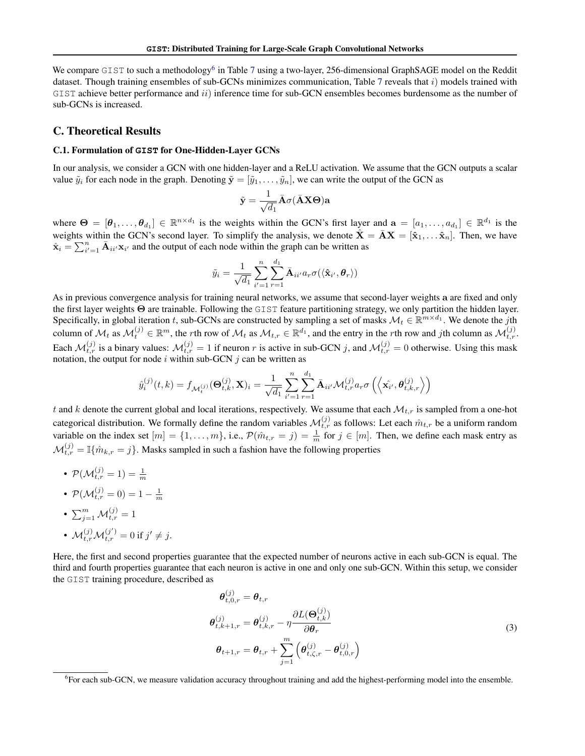We compare GIST to such a methodology<sup>[6](#page-14-2)</sup> in Table [7](#page-13-2) using a two-layer, 256-dimensional GraphSAGE model on the Reddit dataset. Though training ensembles of sub-GCNs minimizes communication, Table [7](#page-13-2) reveals that  $i$ ) models trained with  $GIST$  achieve better performance and  $ii)$  inference time for sub-GCN ensembles becomes burdensome as the number of sub-GCNs is increased.

### <span id="page-14-1"></span><span id="page-14-0"></span>C. Theoretical Results

#### C.1. Formulation of **GIST** for One-Hidden-Layer GCNs

In our analysis, we consider a GCN with one hidden-layer and a ReLU activation. We assume that the GCN outputs a scalar value  $\tilde{y}_i$  for each node in the graph. Denoting  $\tilde{\mathbf{y}} = [\tilde{y}_1, \dots, \tilde{y}_n]$ , we can write the output of the GCN as

$$
\tilde{\mathbf{y}} = \frac{1}{\sqrt{d_1}} \bar{\mathbf{A}} \sigma(\bar{\mathbf{A}} \mathbf{X} \boldsymbol{\Theta}) \mathbf{a}
$$

where  $\Theta = [\theta_1, \dots, \theta_{d_1}] \in \mathbb{R}^{n \times d_1}$  is the weights within the GCN's first layer and  $a = [a_1, \dots, a_{d_1}] \in \mathbb{R}^{d_1}$  is the weights within the GCN's second layer. To simplify the analysis, we denote  $\hat{\mathbf{X}} = \bar{\mathbf{A}}\mathbf{X} = [\hat{\mathbf{x}}_1, \dots, \hat{\mathbf{x}}_n]$ . Then, we have  $\hat{\mathbf{x}}_i = \sum_{i'=1}^n \bar{\mathbf{A}}_{ii'} \mathbf{x}_{i'}$  and the output of each node within the graph can be written as

$$
\tilde{y}_i = \frac{1}{\sqrt{d_1}} \sum_{i'=1}^n \sum_{r=1}^{d_1} \bar{\mathbf{A}}_{ii'} a_r \sigma(\langle \hat{\mathbf{x}}_{i'}, \boldsymbol{\theta}_r \rangle)
$$

As in previous convergence analysis for training neural networks, we assume that second-layer weights a are fixed and only the first layer weights Θ are trainable. Following the GIST feature partitioning strategy, we only partition the hidden layer. Specifically, in global iteration t, sub-GCNs are constructed by sampling a set of masks  $\mathcal{M}_t \in \mathbb{R}^{m \times d_1}$ . We denote the jth column of  $\mathcal{M}_t$  as  $\mathcal{M}_t^{(j)} \in \mathbb{R}^m$ , the rth row of  $\mathcal{M}_t$  as  $\mathcal{M}_{t,r} \in \mathbb{R}^{d_1}$ , and the entry in the rth row and jth column as  $\mathcal{M}_{t,r}^{(j)}$ . Each  $\mathcal{M}_{t,r}^{(j)}$  is a binary values:  $\mathcal{M}_{t,r}^{(j)} = 1$  if neuron r is active in sub-GCN j, and  $\mathcal{M}_{t,r}^{(j)} = 0$  otherwise. Using this mask notation, the output for node  $i$  within sub-GCN  $j$  can be written as

$$
\hat{y}_{i}^{(j)}(t,k) = f_{\mathcal{M}_{t}^{(j)}}(\mathbf{\Theta}_{t,k}^{(j)}, \mathbf{X})_{i} = \frac{1}{\sqrt{d_1}} \sum_{i'=1}^{n} \sum_{r=1}^{d_1} \bar{\mathbf{A}}_{ii'} \mathcal{M}_{t,r}^{(j)} a_r \sigma\left(\left\langle \hat{\mathbf{x}_{i'}}, \hat{\theta}_{t,k,r}^{(j)} \right\rangle\right)
$$

t and k denote the current global and local iterations, respectively. We assume that each  $\mathcal{M}_{t,r}$  is sampled from a one-hot categorical distribution. We formally define the random variables  $\mathcal{M}_{t,r}^{(j)}$  as follows: Let each  $\hat{m}_{t,r}$  be a uniform random variable on the index set  $[m] = \{1, \ldots, m\}$ , i.e.,  $\mathcal{P}(\hat{m}_{t,r} = j) = \frac{1}{m}$  for  $j \in [m]$ . Then, we define each mask entry as  $\mathcal{M}_{t,r}^{(j)} = \mathbb{I}\{\hat{m}_{k,r} = j\}$ . Masks sampled in such a fashion have the following properties

- $\bullet$   $\mathcal{P}(\mathcal{M}_{t,r}^{(j)} = 1) = \frac{1}{m}$
- $\mathcal{P}(\mathcal{M}_{t,r}^{(j)} = 0) = 1 \frac{1}{m}$
- $\bullet \ \sum_{j=1}^m \mathcal{M}_{t,r}^{(j)}=1$
- $\mathcal{M}_{t,r}^{(j)} \mathcal{M}_{t,r}^{(j')} = 0$  if  $j' \neq j$ .

Here, the first and second properties guarantee that the expected number of neurons active in each sub-GCN is equal. The third and fourth properties guarantee that each neuron is active in one and only one sub-GCN. Within this setup, we consider the GIST training procedure, described as

<span id="page-14-3"></span>
$$
\theta_{t,0,r}^{(j)} = \theta_{t,r}
$$
\n
$$
\theta_{t,k+1,r}^{(j)} = \theta_{t,k,r}^{(j)} - \eta \frac{\partial L(\Theta_{t,k}^{(j)})}{\partial \theta_r}
$$
\n
$$
\theta_{t+1,r} = \theta_{t,r} + \sum_{j=1}^{m} \left( \theta_{t,\zeta,r}^{(j)} - \theta_{t,0,r}^{(j)} \right)
$$
\n(3)

<span id="page-14-2"></span><sup>6</sup>For each sub-GCN, we measure validation accuracy throughout training and add the highest-performing model into the ensemble.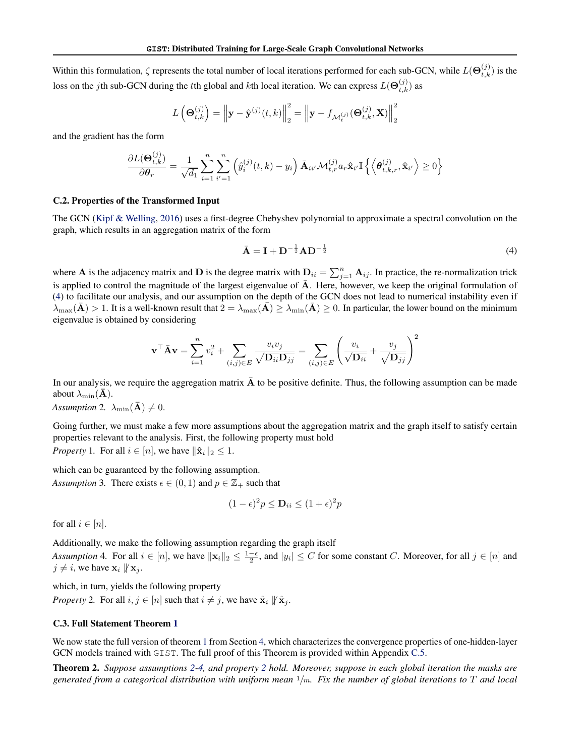Within this formulation,  $\zeta$  represents the total number of local iterations performed for each sub-GCN, while  $L(\Theta_{t,k}^{(j)})$  is the loss on the *j*th sub-GCN during the *t*th global and *k*th local iteration. We can express  $L(\Theta_{t,k}^{(j)})$  as

$$
L\left(\mathbf{\Theta}_{t,k}^{(j)}\right) = \left\|\mathbf{y} - \hat{\mathbf{y}}^{(j)}(t,k)\right\|_2^2 = \left\|\mathbf{y} - f_{\mathcal{M}_t^{(j)}}(\mathbf{\Theta}_{t,k}^{(j)}, \mathbf{X})\right\|_2^2
$$

and the gradient has the form

$$
\frac{\partial L(\mathbf{\Theta}_{t,k}^{(j)})}{\partial \theta_r} = \frac{1}{\sqrt{d_1}} \sum_{i=1}^n \sum_{i'=1}^n \left( \hat{y}_i^{(j)}(t,k) - y_i \right) \bar{\mathbf{A}}_{ii'} \mathcal{M}_{t,r}^{(j)} a_r \hat{\mathbf{x}}_{i'} \mathbb{I} \left\{ \left\langle \mathbf{\theta}_{t,k,r}^{(j)}, \hat{\mathbf{x}}_{i'} \right\rangle \ge 0 \right\}
$$

#### <span id="page-15-0"></span>C.2. Properties of the Transformed Input

The GCN [\(Kipf & Welling,](#page-8-5) [2016\)](#page-8-5) uses a first-degree Chebyshev polynomial to approximate a spectral convolution on the graph, which results in an aggregation matrix of the form

<span id="page-15-1"></span>
$$
\bar{\mathbf{A}} = \mathbf{I} + \mathbf{D}^{-\frac{1}{2}} \mathbf{A} \mathbf{D}^{-\frac{1}{2}}
$$
 (4)

where **A** is the adjacency matrix and **D** is the degree matrix with  $D_{ii} = \sum_{j=1}^{n} A_{ij}$ . In practice, the re-normalization trick is applied to control the magnitude of the largest eigenvalue of  $\bar{A}$ . Here, however, we keep the original formulation of [\(4\)](#page-15-1) to facilitate our analysis, and our assumption on the depth of the GCN does not lead to numerical instability even if  $\lambda_{\max}(\mathbf{A}) > 1$ . It is a well-known result that  $2 = \lambda_{\max}(\mathbf{A}) \ge \lambda_{\min}(\mathbf{A}) \ge 0$ . In particular, the lower bound on the minimum eigenvalue is obtained by considering

$$
\mathbf{v}^\top \bar{\mathbf{A}} \mathbf{v} = \sum_{i=1}^n v_i^2 + \sum_{(i,j) \in E} \frac{v_i v_j}{\sqrt{\mathbf{D}_{ii} \mathbf{D}_{jj}}} = \sum_{(i,j) \in E} \left( \frac{v_i}{\sqrt{\mathbf{D}_{ii}}} + \frac{v_j}{\sqrt{\mathbf{D}_{jj}}} \right)^2
$$

In our analysis, we require the aggregation matrix  $\overline{A}$  to be positive definite. Thus, the following assumption can be made about  $\lambda_{\min}(\mathbf{\bar{A}})$ .

<span id="page-15-2"></span>*Assumption* 2*.*  $\lambda_{\min}(\mathbf{\bar{A}}) \neq 0$ .

Going further, we must make a few more assumptions about the aggregation matrix and the graph itself to satisfy certain properties relevant to the analysis. First, the following property must hold *Property* 1. For all  $i \in [n]$ , we have  $\|\hat{\mathbf{x}}_i\|_2 \leq 1$ .

<span id="page-15-6"></span>

which can be guaranteed by the following assumption.

<span id="page-15-7"></span>*Assumption* 3. There exists  $\epsilon \in (0, 1)$  and  $p \in \mathbb{Z}_+$  such that

$$
(1 - \epsilon)^2 p \le \mathbf{D}_{ii} \le (1 + \epsilon)^2 p
$$

for all  $i \in [n]$ .

Additionally, we make the following assumption regarding the graph itself

<span id="page-15-3"></span>*Assumption* 4. For all  $i \in [n]$ , we have  $\|\mathbf{x}_i\|_2 \le \frac{1-\epsilon}{2}$ , and  $|y_i| \le C$  for some constant C. Moreover, for all  $j \in [n]$  and  $j \neq i$ , we have  $\mathbf{x}_i \not\parallel \mathbf{x}_j$ .

<span id="page-15-4"></span>which, in turn, yields the following property *Property* 2. For all  $i, j \in [n]$  such that  $i \neq j$ , we have  $\hat{\mathbf{x}}_i \not\parallel \hat{\mathbf{x}}_i$ .

### <span id="page-15-5"></span>C.3. Full Statement Theorem [1](#page-4-2)

We now state the full version of theorem [1](#page-4-2) from Section [4,](#page-4-3) which characterizes the convergence properties of one-hidden-layer GCN models trained with GIST. The full proof of this Theorem is provided within Appendix [C.5.](#page-17-0)

Theorem 2. *Suppose assumptions [2-](#page-15-2)[4,](#page-15-3) and property [2](#page-15-4) hold. Moreover, suppose in each global iteration the masks are generated from a categorical distribution with uniform mean* <sup>1</sup>/m*. Fix the number of global iterations to* T *and local*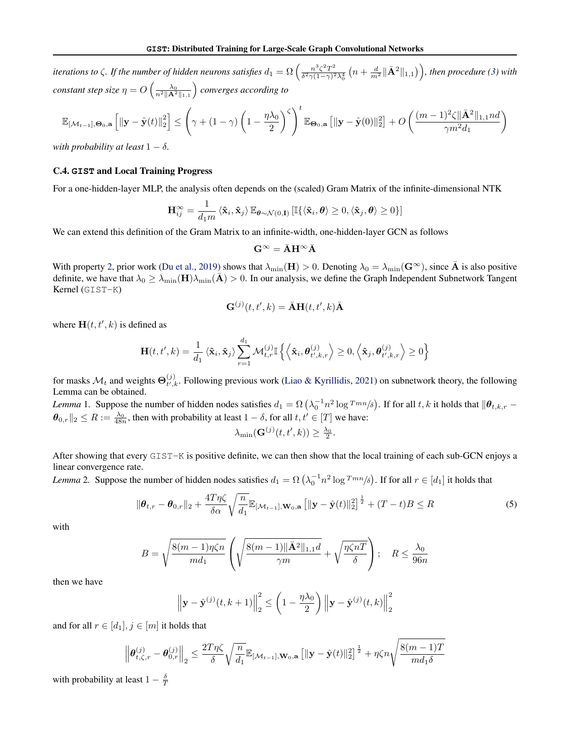*iterations to*  $\zeta$ *. If the number of hidden neurons satisfies*  $d_1 = \Omega \left( \frac{n^3 \zeta^2 T^2}{\delta^2 \gamma (1 - \gamma)^2} \right)$  $\frac{n^3\zeta^2 T^2}{\delta^2 \gamma(1-\gamma)^2\lambda_0^4}\left(n+\frac{d}{m^2}\|\bar{\mathbf{A}}^2\|_{1,1}\right)\right)$ , then procedure [\(3\)](#page-14-3) with *constant step size*  $\eta = O\left(\frac{\lambda_0}{n^2 \|\mathbf{A}^2\|_{1,1}}\right)$  *converges according to* 

$$
\mathbb{E}_{[\mathcal{M}_{t-1}],\Theta_0,\mathbf{a}}\left[\left\|\mathbf{y}-\hat{\mathbf{y}}(t)\right\|_2^2\right] \leq \left(\gamma + (1-\gamma)\left(1-\frac{\eta\lambda_0}{2}\right)^\zeta\right)^t \mathbb{E}_{\Theta_0,\mathbf{a}}\left[\|\mathbf{y}-\hat{\mathbf{y}}(0)\|_2^2\right] + O\left(\frac{(m-1)^2\zeta\|\bar{\mathbf{A}}^2\|_{1,1}nd}{\gamma m^2d_1}\right)
$$

*with probability at least*  $1 - \delta$ *.* 

#### C.4. **GIST** and Local Training Progress

For a one-hidden-layer MLP, the analysis often depends on the (scaled) Gram Matrix of the infinite-dimensional NTK

$$
\mathbf{H}_{ij}^{\infty}=\frac{1}{d_1m}\left\langle\mathbf{\hat{x}}_i,\mathbf{\hat{x}}_j\right\rangle\mathbb{E}_{\boldsymbol{\theta}\sim\mathcal{N}(0,\mathbf{I})}\left[\mathbb{I}\{\left\langle\mathbf{\hat{x}}_i,\boldsymbol{\theta}\right\rangle\geq0,\left\langle\mathbf{\hat{x}}_j,\boldsymbol{\theta}\right\rangle\geq0\}\right]
$$

We can extend this definition of the Gram Matrix to an infinite-width, one-hidden-layer GCN as follows

$$
\mathbf{G}^{\infty}=\bar{\mathbf{A}}\mathbf{H}^{\infty}\bar{\mathbf{A}}
$$

With property [2,](#page-15-4) prior work [\(Du et al.,](#page-8-26) [2019\)](#page-8-26) shows that  $\lambda_{\min}(\mathbf{H}) > 0$ . Denoting  $\lambda_0 = \lambda_{\min}(\mathbf{G}^{\infty})$ , since **A** is also positive definite, we have that  $\lambda_0 \ge \lambda_{\min}(\mathbf{H})\lambda_{\min}(\mathbf{A}) > 0$ . In our analysis, we define the Graph Independent Subnetwork Tangent Kernel (GIST-K)

$$
\mathbf{G}^{(j)}(t, t', k) = \bar{\mathbf{A}} \mathbf{H}(t, t', k) \bar{\mathbf{A}}
$$

where  $H(t, t', k)$  is defined as

$$
\mathbf{H}(t, t', k) = \frac{1}{d_1} \langle \hat{\mathbf{x}}_i, \hat{\mathbf{x}}_j \rangle \sum_{r=1}^{d_1} \mathcal{M}_{t,r}^{(j)} \mathbb{I} \left\{ \left\langle \hat{\mathbf{x}}_i, \boldsymbol{\theta}_{t',k,r}^{(j)} \right\rangle \ge 0, \left\langle \hat{\mathbf{x}}_j, \boldsymbol{\theta}_{t',k,r}^{(j)} \right\rangle \ge 0 \right\}
$$

for masks  $\mathcal{M}_t$  and weights  $\Theta_{t',t}^{(j)}$  $t_{t',k}^{(j)}$ . Following previous work [\(Liao & Kyrillidis,](#page-9-24) [2021\)](#page-9-24) on subnetwork theory, the following Lemma can be obtained.

<span id="page-16-2"></span>*Lemma* 1. Suppose the number of hidden nodes satisfies  $d_1 = \Omega\left(\lambda_0^{-1}n^2\log T^{mn}/\delta\right)$ . If for all  $t, k$  it holds that  $\|\boldsymbol{\theta}_{t,k,r} \theta_{0,r}$   $\|_2 \leq R := \frac{\lambda_0}{48n}$ , then with probability at least  $1 - \delta$ , for all  $t, t' \in [T]$  we have:

<span id="page-16-1"></span>
$$
\lambda_{\min}(\mathbf{G}^{(j)}(t,t',k)) \geq \frac{\lambda_0}{2}.
$$

After showing that every GIST-K is positive definite, we can then show that the local training of each sub-GCN enjoys a linear convergence rate.

<span id="page-16-0"></span>*Lemma* 2. Suppose the number of hidden nodes satisfies  $d_1 = \Omega\left(\lambda_0^{-1}n^2\log T^{mn}/\delta\right)$ . If for all  $r \in [d_1]$  it holds that

$$
\|\boldsymbol{\theta}_{t,r} - \boldsymbol{\theta}_{0,r}\|_2 + \frac{4T\eta\zeta}{\delta\alpha}\sqrt{\frac{n}{d_1}}\mathbb{E}_{\left[\mathcal{M}_{t-1}\right],\mathbf{W}_0,\mathbf{a}}\left[\|\mathbf{y} - \hat{\mathbf{y}}(t)\|_2^2\right]^{\frac{1}{2}} + (T-t)B \le R
$$
\n(5)

with

$$
B = \sqrt{\frac{8(m-1)\eta\zeta n}{md_1}} \left( \sqrt{\frac{8(m-1)\|\bar{\mathbf{A}}^2\|_{1,1}d}{\gamma m}} + \sqrt{\frac{\eta\zeta nT}{\delta}} \right); \quad R \le \frac{\lambda_0}{96n}
$$

then we have

$$
\left\|\mathbf{y} - \hat{\mathbf{y}}^{(j)}(t, k+1)\right\|_{2}^{2} \le \left(1 - \frac{\eta \lambda_{0}}{2}\right) \left\|\mathbf{y} - \hat{\mathbf{y}}^{(j)}(t, k)\right\|_{2}^{2}
$$

and for all  $r \in [d_1], j \in [m]$  it holds that

$$
\left\|\boldsymbol{\theta}_{t,\zeta,r}^{(j)}-\boldsymbol{\theta}_{0,r}^{(j)}\right\|_2 \leq \frac{2T\eta\zeta}{\delta}\sqrt{\frac{n}{d_1}}\mathbb{E}_{\left[\mathcal{M}_{t-1}\right],\mathbf{W}_0,\mathbf{a}}\left[\|\mathbf{y}-\hat{\mathbf{y}}(t)\|_2^2\right]^{\frac{1}{2}} + \eta\zeta n\sqrt{\frac{8(m-1)T}{md_1\delta}}
$$

with probability at least  $1 - \frac{\delta}{T}$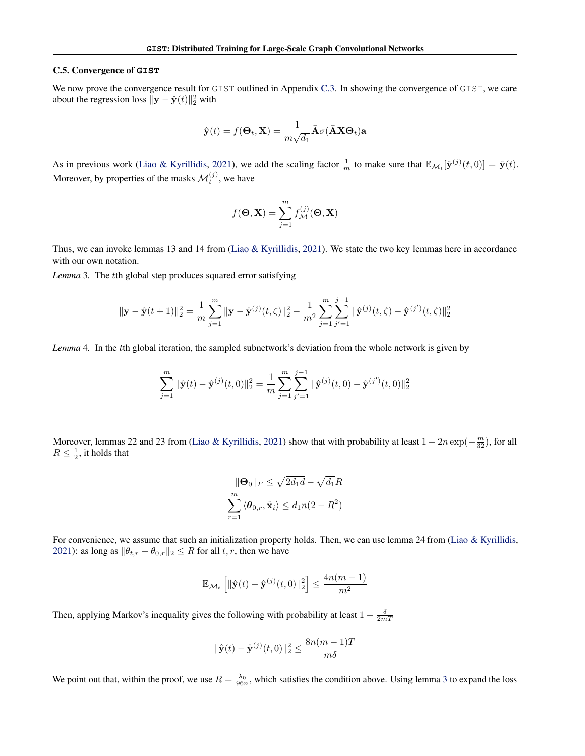### <span id="page-17-0"></span>C.5. Convergence of **GIST**

We now prove the convergence result for GIST outlined in Appendix [C.3.](#page-15-5) In showing the convergence of GIST, we care about the regression loss  $\|\mathbf{y} - \hat{\mathbf{y}}(t)\|_2^2$  with

$$
\hat{\mathbf{y}}(t) = f(\mathbf{\Theta}_t, \mathbf{X}) = \frac{1}{m\sqrt{d_1}} \bar{\mathbf{A}} \sigma(\bar{\mathbf{A}} \mathbf{X} \mathbf{\Theta}_t) \mathbf{a}
$$

As in previous work [\(Liao & Kyrillidis,](#page-9-24) [2021\)](#page-9-24), we add the scaling factor  $\frac{1}{m}$  to make sure that  $\mathbb{E}_{\mathcal{M}_t}[\hat{\mathbf{y}}^{(j)}(t,0)] = \hat{\mathbf{y}}(t)$ . Moreover, by properties of the masks  $\mathcal{M}_t^{(j)}$ , we have

$$
f(\mathbf{\Theta}, \mathbf{X}) = \sum_{j=1}^{m} f_{\mathcal{M}}^{(j)}(\mathbf{\Theta}, \mathbf{X})
$$

Thus, we can invoke lemmas 13 and 14 from [\(Liao & Kyrillidis,](#page-9-24) [2021\)](#page-9-24). We state the two key lemmas here in accordance with our own notation.

<span id="page-17-1"></span>*Lemma* 3*.* The tth global step produces squared error satisfying

$$
\|\mathbf{y} - \hat{\mathbf{y}}(t+1)\|_2^2 = \frac{1}{m} \sum_{j=1}^m \|\mathbf{y} - \hat{\mathbf{y}}^{(j)}(t,\zeta)\|_2^2 - \frac{1}{m^2} \sum_{j=1}^m \sum_{j'=1}^{j-1} \|\hat{\mathbf{y}}^{(j)}(t,\zeta) - \hat{\mathbf{y}}^{(j')}(t,\zeta)\|_2^2
$$

<span id="page-17-2"></span>*Lemma* 4*.* In the tth global iteration, the sampled subnetwork's deviation from the whole network is given by

$$
\sum_{j=1}^{m} \|\hat{\mathbf{y}}(t) - \hat{\mathbf{y}}^{(j)}(t,0)\|_{2}^{2} = \frac{1}{m} \sum_{j=1}^{m} \sum_{j'=1}^{j-1} \|\hat{\mathbf{y}}^{(j)}(t,0) - \hat{\mathbf{y}}^{(j')}(t,0)\|_{2}^{2}
$$

Moreover, lemmas 22 and 23 from [\(Liao & Kyrillidis,](#page-9-24) [2021\)](#page-9-24) show that with probability at least  $1 - 2n \exp(-\frac{m}{32})$ , for all  $R \leq \frac{1}{2}$ , it holds that

$$
\|\mathbf{\Theta}_0\|_F \le \sqrt{2d_1d} - \sqrt{d_1R}
$$

$$
\sum_{r=1}^m \langle \mathbf{\theta}_{0,r}, \hat{\mathbf{x}}_i \rangle \le d_1n(2 - R^2)
$$

For convenience, we assume that such an initialization property holds. Then, we can use lemma 24 from [\(Liao & Kyrillidis,](#page-9-24) [2021\)](#page-9-24): as long as  $\|\theta_{t,r} - \theta_{0,r}\|_2 \leq R$  for all  $t, r$ , then we have

$$
\mathbb{E}_{\mathcal{M}_t} \left[ \|\hat{\mathbf{y}}(t) - \hat{\mathbf{y}}^{(j)}(t,0)\|_2^2 \right] \le \frac{4n(m-1)}{m^2}
$$

Then, applying Markov's inequality gives the following with probability at least  $1 - \frac{\delta}{2mT}$ 

$$
\|\hat{\mathbf{y}}(t) - \hat{\mathbf{y}}^{(j)}(t,0)\|_2^2 \le \frac{8n(m-1)T}{m\delta}
$$

We point out that, within the proof, we use  $R = \frac{\lambda_0}{96n}$ , which satisfies the condition above. Using lemma [3](#page-17-1) to expand the loss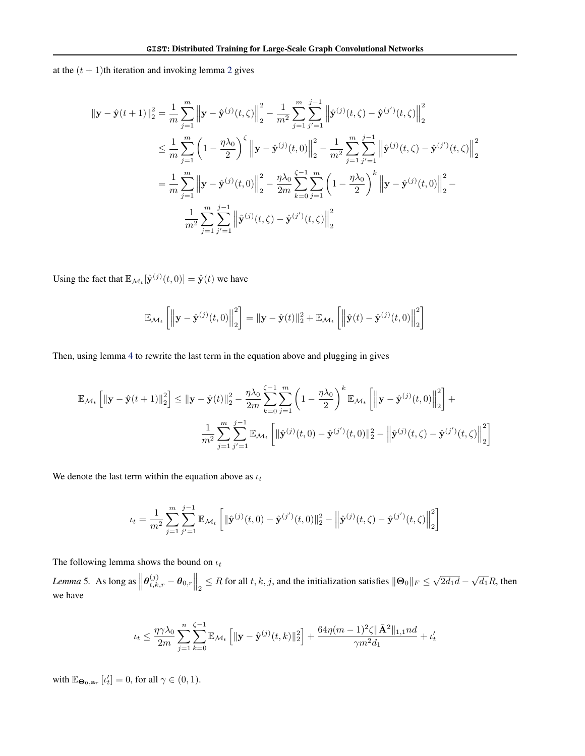at the  $(t + 1)$ th iteration and invoking lemma [2](#page-16-0) gives

$$
\|\mathbf{y} - \hat{\mathbf{y}}(t+1)\|_{2}^{2} = \frac{1}{m} \sum_{j=1}^{m} \left\|\mathbf{y} - \hat{\mathbf{y}}^{(j)}(t,\zeta)\right\|_{2}^{2} - \frac{1}{m^{2}} \sum_{j=1}^{m} \sum_{j'=1}^{j-1} \left\|\hat{\mathbf{y}}^{(j)}(t,\zeta) - \hat{\mathbf{y}}^{(j')}(t,\zeta)\right\|_{2}^{2}
$$
  
\n
$$
\leq \frac{1}{m} \sum_{j=1}^{m} \left(1 - \frac{\eta \lambda_{0}}{2}\right)^{\zeta} \left\|\mathbf{y} - \hat{\mathbf{y}}^{(j)}(t,0)\right\|_{2}^{2} - \frac{1}{m^{2}} \sum_{j=1}^{m} \sum_{j'=1}^{j-1} \left\|\hat{\mathbf{y}}^{(j)}(t,\zeta) - \hat{\mathbf{y}}^{(j')}(t,\zeta)\right\|_{2}^{2}
$$
  
\n
$$
= \frac{1}{m} \sum_{j=1}^{m} \left\|\mathbf{y} - \hat{\mathbf{y}}^{(j)}(t,0)\right\|_{2}^{2} - \frac{\eta \lambda_{0}}{2m} \sum_{k=0}^{\zeta-1} \sum_{j=1}^{m} \left(1 - \frac{\eta \lambda_{0}}{2}\right)^{k} \left\|\mathbf{y} - \hat{\mathbf{y}}^{(j)}(t,0)\right\|_{2}^{2} - \frac{1}{m^{2}} \sum_{j=1}^{m} \sum_{j'=1}^{j-1} \left\|\hat{\mathbf{y}}^{(j)}(t,\zeta) - \hat{\mathbf{y}}^{(j')}(t,\zeta)\right\|_{2}^{2}
$$

Using the fact that  $\mathbb{E}_{\mathcal{M}_t}[\hat{\mathbf{y}}^{(j)}(t,0)] = \hat{\mathbf{y}}(t)$  we have

$$
\mathbb{E}_{\mathcal{M}_t}\left[\left\|\mathbf{y}-\hat{\mathbf{y}}^{(j)}(t,0)\right\|_2^2\right] = \|\mathbf{y}-\hat{\mathbf{y}}(t)\|_2^2 + \mathbb{E}_{\mathcal{M}_t}\left[\left\|\hat{\mathbf{y}}(t)-\hat{\mathbf{y}}^{(j)}(t,0)\right\|_2^2\right]
$$

Then, using lemma [4](#page-17-2) to rewrite the last term in the equation above and plugging in gives

$$
\mathbb{E}_{\mathcal{M}_t} \left[ \|\mathbf{y} - \hat{\mathbf{y}}(t+1)\|_2^2 \right] \leq \|\mathbf{y} - \hat{\mathbf{y}}(t)\|_2^2 - \frac{\eta \lambda_0}{2m} \sum_{k=0}^{\zeta-1} \sum_{j=1}^m \left(1 - \frac{\eta \lambda_0}{2}\right)^k \mathbb{E}_{\mathcal{M}_t} \left[ \left\|\mathbf{y} - \hat{\mathbf{y}}^{(j)}(t,0)\right\|_2^2 \right] +
$$

$$
\frac{1}{m^2} \sum_{j=1}^m \sum_{j'=1}^m \mathbb{E}_{\mathcal{M}_t} \left[ \|\hat{\mathbf{y}}^{(j)}(t,0) - \hat{\mathbf{y}}^{(j')}(t,0)\|_2^2 - \left\|\hat{\mathbf{y}}^{(j)}(t,\zeta) - \hat{\mathbf{y}}^{(j')}(t,\zeta)\right\|_2^2 \right]
$$

We denote the last term within the equation above as  $u_t$ 

$$
u_t = \frac{1}{m^2} \sum_{j=1}^m \sum_{j'=1}^{j-1} \mathbb{E}_{\mathcal{M}_t} \left[ \|\hat{\mathbf{y}}^{(j)}(t,0) - \hat{\mathbf{y}}^{(j')}(t,0)\|_2^2 - \left\|\hat{\mathbf{y}}^{(j)}(t,\zeta) - \hat{\mathbf{y}}^{(j')}(t,\zeta)\right\|_2^2 \right]
$$

The following lemma shows the bound on  $\iota_t$ 

<span id="page-18-0"></span>*Lemma* 5. As long as  $\left\|\boldsymbol{\theta}_{t,k,r}^{(j)} - \boldsymbol{\theta}_{0,r}\right\|_2 \leq R$  for all  $t, k, j$ , and the initialization satisfies  $\|\boldsymbol{\Theta}_0\|_F \leq \sqrt{2d_1d} - \sqrt{d_1}R$ , then we have

$$
t_t \leq \frac{\eta \gamma \lambda_0}{2m} \sum_{j=1}^n \sum_{k=0}^{\zeta-1} \mathbb{E}_{\mathcal{M}_t} \left[ \|\mathbf{y} - \hat{\mathbf{y}}^{(j)}(t,k)\|_2^2 \right] + \frac{64\eta(m-1)^2 \zeta \|\bar{\mathbf{A}}^2\|_{1,1} nd}{\gamma m^2 d_1} + t'_t
$$

with  $\mathbb{E}_{\Theta_0, \mathbf{a}_r} [t'_t] = 0$ , for all  $\gamma \in (0, 1)$ .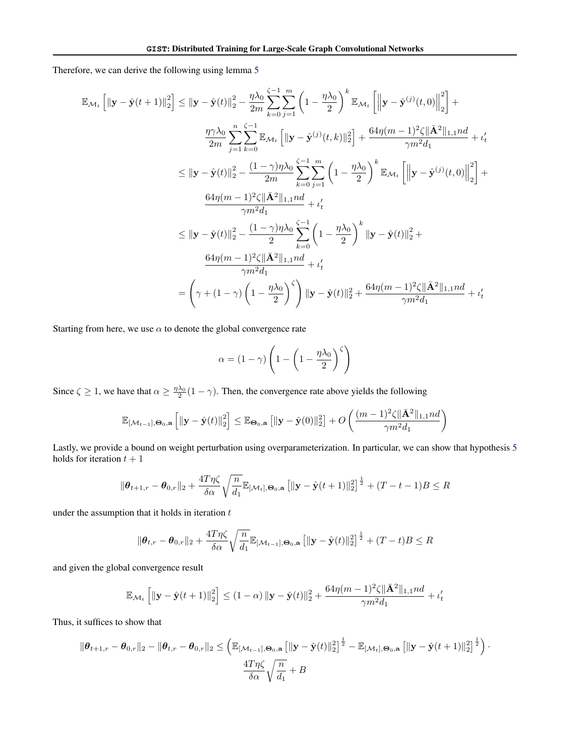Therefore, we can derive the following using lemma [5](#page-18-0)

$$
\mathbb{E}_{\mathcal{M}_{t}}\left[\|\mathbf{y}-\hat{\mathbf{y}}(t+1)\|_{2}^{2}\right] \leq \|\mathbf{y}-\hat{\mathbf{y}}(t)\|_{2}^{2} - \frac{\eta\lambda_{0}}{2m} \sum_{k=0}^{\zeta-1} \sum_{j=1}^{m} \left(1 - \frac{\eta\lambda_{0}}{2}\right)^{k} \mathbb{E}_{\mathcal{M}_{t}}\left[\left\|\mathbf{y}-\hat{\mathbf{y}}^{(j)}(t,0)\right\|_{2}^{2}\right] + \frac{\eta\gamma\lambda_{0}}{2m} \sum_{j=1}^{n} \sum_{k=0}^{\zeta-1} \mathbb{E}_{\mathcal{M}_{t}}\left[\|\mathbf{y}-\hat{\mathbf{y}}^{(j)}(t,k)\|_{2}^{2}\right] + \frac{64\eta(m-1)^{2}\zeta\|\bar{\mathbf{A}}^{2}\|_{1,1}nd}{\gamma m^{2}d_{1}} + \iota_{t}'
$$
\n
$$
\leq \|\mathbf{y}-\hat{\mathbf{y}}(t)\|_{2}^{2} - \frac{(1-\gamma)\eta\lambda_{0}}{2m} \sum_{k=0}^{\zeta-1} \sum_{j=1}^{m} \left(1 - \frac{\eta\lambda_{0}}{2}\right)^{k} \mathbb{E}_{\mathcal{M}_{t}}\left[\left\|\mathbf{y}-\hat{\mathbf{y}}^{(j)}(t,0)\right\|_{2}^{2}\right] + \frac{64\eta(m-1)^{2}\zeta\|\bar{\mathbf{A}}^{2}\|_{1,1}nd}{\gamma m^{2}d_{1}} + \iota_{t}'
$$
\n
$$
\leq \|\mathbf{y}-\hat{\mathbf{y}}(t)\|_{2}^{2} - \frac{(1-\gamma)\eta\lambda_{0}}{2} \sum_{k=0}^{\zeta-1} \left(1 - \frac{\eta\lambda_{0}}{2}\right)^{k} \|\mathbf{y}-\hat{\mathbf{y}}(t)\|_{2}^{2} + \frac{64\eta(m-1)^{2}\zeta\|\bar{\mathbf{A}}^{2}\|_{1,1}nd}{\gamma m^{2}d_{1}} + \iota_{t}'
$$
\n
$$
= \left(\gamma + (1-\gamma)\left(1 - \frac{\eta\lambda_{0}}{2}\right)^{\zeta}\right)\|\mathbf{y}-\hat{\math
$$

Starting from here, we use  $\alpha$  to denote the global convergence rate

$$
\alpha = (1 - \gamma) \left( 1 - \left( 1 - \frac{\eta \lambda_0}{2} \right)^{\zeta} \right)
$$

Since  $\zeta \ge 1$ , we have that  $\alpha \ge \frac{\eta \lambda_0}{2}(1 - \gamma)$ . Then, the convergence rate above yields the following

$$
\mathbb{E}_{\left[\mathcal{M}_{t-1}\right],\mathbf{\Theta}_0,\mathbf{a}}\left[\left\|\mathbf{y}-\hat{\mathbf{y}}(t)\right\|_2^2\right] \leq \mathbb{E}_{\mathbf{\Theta}_0,\mathbf{a}}\left[\|\mathbf{y}-\hat{\mathbf{y}}(0)\|_2^2\right] + O\left(\frac{(m-1)^2\zeta\|\bar{\mathbf{A}}^2\|_{1,1}nd}{\gamma m^2d_1}\right)
$$

Lastly, we provide a bound on weight perturbation using overparameterization. In particular, we can show that hypothesis [5](#page-16-1) holds for iteration  $t + 1$ 

$$
\|\boldsymbol{\theta}_{t+1,r} - \boldsymbol{\theta}_{0,r}\|_2 + \frac{4T\eta\zeta}{\delta\alpha}\sqrt{\frac{n}{d_1}}\mathbb{E}_{\left[\mathcal{M}_t\right],\boldsymbol{\Theta}_0,\mathbf{a}}\left[\|\mathbf{y}-\hat{\mathbf{y}}(t+1)\|_2^2\right]^{\frac{1}{2}} + (T-t-1)B \le R
$$

under the assumption that it holds in iteration  $t$ 

$$
\|\boldsymbol{\theta}_{t,r} - \boldsymbol{\theta}_{0,r}\|_2 + \frac{4T\eta\zeta}{\delta\alpha} \sqrt{\frac{n}{d_1}} \mathbb{E}_{\left[\mathcal{M}_{t-1}\right],\boldsymbol{\Theta}_0,\mathbf{a}} \left[ \|\mathbf{y} - \hat{\mathbf{y}}(t)\|_2^2 \right]^{\frac{1}{2}} + (T-t)B \le R
$$

and given the global convergence result

$$
\mathbb{E}_{\mathcal{M}_t} \left[ \|\mathbf{y} - \hat{\mathbf{y}}(t+1)\|_2^2 \right] \le (1-\alpha) \|\mathbf{y} - \hat{\mathbf{y}}(t)\|_2^2 + \frac{64\eta(m-1)^2 \zeta \|\bar{\mathbf{A}}^2\|_{1,1} n d}{\gamma m^2 d_1} + \iota'_t
$$

Thus, it suffices to show that

$$
\|\boldsymbol{\theta}_{t+1,r} - \boldsymbol{\theta}_{0,r}\|_2 - \|\boldsymbol{\theta}_{t,r} - \boldsymbol{\theta}_{0,r}\|_2 \leq \left(\mathbb{E}_{\left[\mathcal{M}_{t-1}\right],\boldsymbol{\Theta}_0,\mathbf{a}}\left[\|\mathbf{y}-\hat{\mathbf{y}}(t)\|_2^2\right]^{\frac{1}{2}} - \mathbb{E}_{\left[\mathcal{M}_{t}\right],\boldsymbol{\Theta}_0,\mathbf{a}}\left[\|\mathbf{y}-\hat{\mathbf{y}}(t+1)\|_2^2\right]^{\frac{1}{2}}\right) \cdot \frac{4T\eta\zeta}{\delta\alpha}\sqrt{\frac{n}{d_1}} + B
$$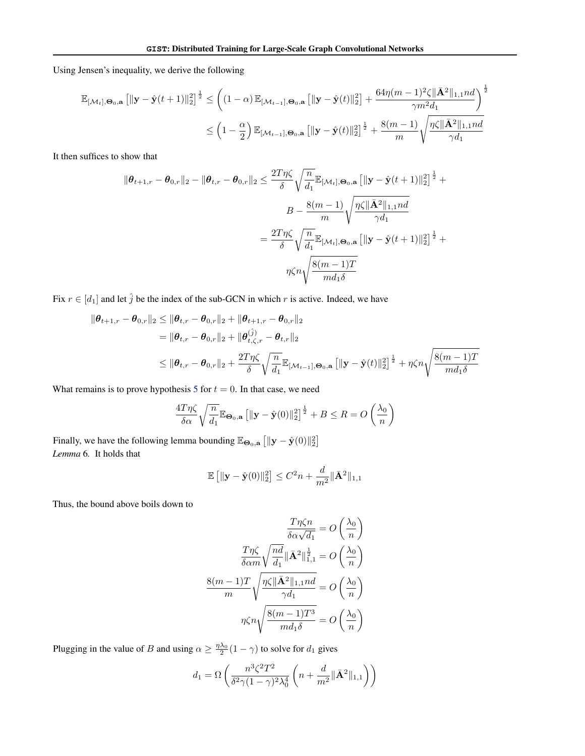Using Jensen's inequality, we derive the following

$$
\mathbb{E}_{\left[\mathcal{M}_{t}\right],\Theta_{0},\mathbf{a}}\left[\|\mathbf{y}-\hat{\mathbf{y}}(t+1)\|_{2}^{2}\right]^{\frac{1}{2}} \leq \left( (1-\alpha)\mathbb{E}_{\left[\mathcal{M}_{t-1}\right],\Theta_{0},\mathbf{a}}\left[\|\mathbf{y}-\hat{\mathbf{y}}(t)\|_{2}^{2}\right] + \frac{64\eta(m-1)^{2}\zeta\|\bar{\mathbf{A}}^{2}\|_{1,1}nd}{\gamma m^{2}d_{1}}\right)^{\frac{1}{2}}
$$

$$
\leq \left(1-\frac{\alpha}{2}\right)\mathbb{E}_{\left[\mathcal{M}_{t-1}\right],\Theta_{0},\mathbf{a}}\left[\|\mathbf{y}-\hat{\mathbf{y}}(t)\|_{2}^{2}\right]^{\frac{1}{2}} + \frac{8(m-1)}{m}\sqrt{\frac{\eta\zeta\|\bar{\mathbf{A}}^{2}\|_{1,1}nd}{\gamma d_{1}}}
$$

It then suffices to show that

$$
\|\theta_{t+1,r} - \theta_{0,r}\|_2 - \|\theta_{t,r} - \theta_{0,r}\|_2 \le \frac{2T\eta\zeta}{\delta} \sqrt{\frac{n}{d_1}} \mathbb{E}_{[\mathcal{M}_t],\Theta_0,\mathbf{a}} \left[ \|\mathbf{y} - \hat{\mathbf{y}}(t+1)\|_2^2 \right]^{\frac{1}{2}} +
$$

$$
B - \frac{8(m-1)}{m} \sqrt{\frac{\eta\zeta \|\bar{\mathbf{A}}^2\|_{1,1}nd}{\gamma d_1}}
$$

$$
= \frac{2T\eta\zeta}{\delta} \sqrt{\frac{n}{d_1}} \mathbb{E}_{[\mathcal{M}_t],\Theta_0,\mathbf{a}} \left[ \|\mathbf{y} - \hat{\mathbf{y}}(t+1)\|_2^2 \right]^{\frac{1}{2}} +
$$

$$
\eta\zeta n \sqrt{\frac{8(m-1)T}{md_1\delta}}
$$

Fix  $r \in [d_1]$  and let  $\hat{j}$  be the index of the sub-GCN in which r is active. Indeed, we have

$$
\|\boldsymbol{\theta}_{t+1,r} - \boldsymbol{\theta}_{0,r}\|_{2} \leq \|\boldsymbol{\theta}_{t,r} - \boldsymbol{\theta}_{0,r}\|_{2} + \|\boldsymbol{\theta}_{t+1,r} - \boldsymbol{\theta}_{0,r}\|_{2}
$$
  
=\|\boldsymbol{\theta}\_{t,r} - \boldsymbol{\theta}\_{0,r}\|\_{2} + \|\boldsymbol{\theta}\_{t,\zeta,r}^{(\hat{j})} - \boldsymbol{\theta}\_{t,r}\|\_{2}  
\leq \|\boldsymbol{\theta}\_{t,r} - \boldsymbol{\theta}\_{0,r}\|\_{2} + \frac{2T\eta\zeta}{\delta} \sqrt{\frac{n}{d\_{1}}}\mathbb{E}\_{[\mathcal{M}\_{t-1}],\Theta\_{0},\mathbf{a}}\left[\|\mathbf{y} - \hat{\mathbf{y}}(t)\|\_{2}^{2}\right]^{\frac{1}{2}} + \eta\zeta n \sqrt{\frac{8(m-1)T}{md\_{1}\delta}}

What remains is to prove hypothesis [5](#page-16-1) for  $t = 0$ . In that case, we need

$$
\frac{4T\eta\zeta}{\delta\alpha}\sqrt{\frac{n}{d_1}}\mathbb{E}_{\Theta_0,\mathbf{a}}\left[\|\mathbf{y}-\hat{\mathbf{y}}(0)\|_2^2\right]^{\frac{1}{2}}+B\leq R=O\left(\frac{\lambda_0}{n}\right)
$$

<span id="page-20-0"></span>Finally, we have the following lemma bounding  $\mathbb{E}_{\Theta_0, \mathbf{a}} [||\mathbf{y} - \hat{\mathbf{y}}(0)||_2^2]$ *Lemma* 6*.* It holds that

$$
\mathbb{E}\left[\|\mathbf{y} - \hat{\mathbf{y}}(0)\|_{2}^{2}\right] \leq C^{2}n + \frac{d}{m^{2}}\|\bar{\mathbf{A}}^{2}\|_{1,1}
$$

Thus, the bound above boils down to

$$
\frac{T\eta\zeta n}{\delta\alpha\sqrt{d_1}} = O\left(\frac{\lambda_0}{n}\right)
$$

$$
\frac{T\eta\zeta}{\delta\alpha m}\sqrt{\frac{nd}{d_1}}\|\bar{\mathbf{A}}^2\|_{1,1}^{\frac{1}{2}} = O\left(\frac{\lambda_0}{n}\right)
$$

$$
\frac{8(m-1)T}{m}\sqrt{\frac{\eta\zeta\|\bar{\mathbf{A}}^2\|_{1,1}nd}{\gamma d_1}} = O\left(\frac{\lambda_0}{n}\right)
$$

$$
\eta\zeta n\sqrt{\frac{8(m-1)T^3}{md_1\delta}} = O\left(\frac{\lambda_0}{n}\right)
$$

Plugging in the value of B and using  $\alpha \geq \frac{\eta \lambda_0}{2}(1 - \gamma)$  to solve for  $d_1$  gives

$$
d_1 = \Omega\left(\frac{n^3 \zeta^2 T^2}{\delta^2 \gamma (1 - \gamma)^2 \lambda_0^4} \left(n + \frac{d}{m^2} \|\bar{\mathbf{A}}^2\|_{1,1}\right)\right)
$$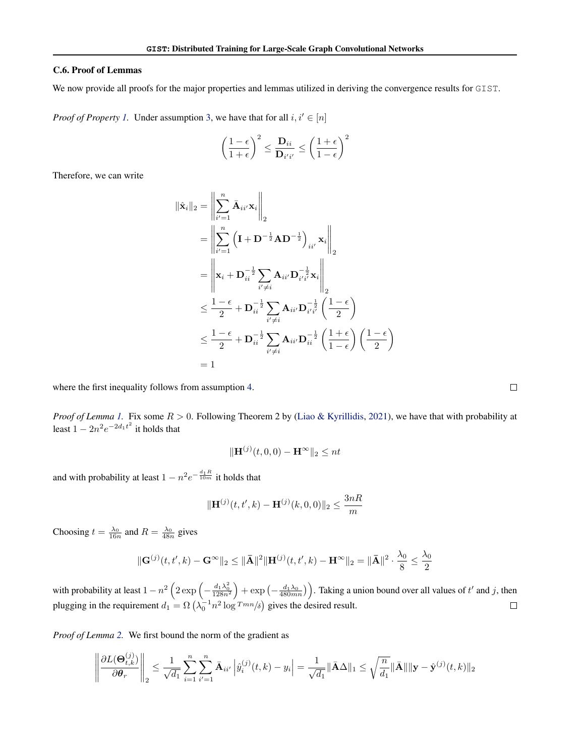### C.6. Proof of Lemmas

We now provide all proofs for the major properties and lemmas utilized in deriving the convergence results for GIST.

*Proof of Property [1.](#page-15-6)* Under assumption [3,](#page-15-7) we have that for all  $i, i' \in [n]$ 

$$
\left(\frac{1-\epsilon}{1+\epsilon}\right)^2 \le \frac{\mathbf{D}_{ii}}{\mathbf{D}_{i'i'}} \le \left(\frac{1+\epsilon}{1-\epsilon}\right)^2
$$

Therefore, we can write

$$
\begin{aligned}\n\|\hat{\mathbf{x}}_{i}\|_{2} &= \left\|\sum_{i'=1}^{n} \bar{\mathbf{A}}_{ii'} \mathbf{x}_{i}\right\|_{2} \\
&= \left\|\sum_{i'=1}^{n} \left(\mathbf{I} + \mathbf{D}^{-\frac{1}{2}} \mathbf{A} \mathbf{D}^{-\frac{1}{2}}\right)_{ii'} \mathbf{x}_{i}\right\|_{2} \\
&= \left\|\mathbf{x}_{i} + \mathbf{D}_{ii}^{-\frac{1}{2}} \sum_{i'\neq i} \mathbf{A}_{ii'} \mathbf{D}_{i'i}^{-\frac{1}{2}} \mathbf{x}_{i}\right\|_{2} \\
&\leq \frac{1-\epsilon}{2} + \mathbf{D}_{ii}^{-\frac{1}{2}} \sum_{i'\neq i} \mathbf{A}_{ii'} \mathbf{D}_{i'i}^{-\frac{1}{2}} \left(\frac{1-\epsilon}{2}\right) \\
&\leq \frac{1-\epsilon}{2} + \mathbf{D}_{ii}^{-\frac{1}{2}} \sum_{i'\neq i} \mathbf{A}_{ii'} \mathbf{D}_{ii}^{-\frac{1}{2}} \left(\frac{1+\epsilon}{1-\epsilon}\right) \left(\frac{1-\epsilon}{2}\right) \\
&= 1\n\end{aligned}
$$

where the first inequality follows from assumption [4.](#page-15-3)

*Proof of Lemma [1.](#page-16-2)* Fix some R > 0. Following Theorem 2 by [\(Liao & Kyrillidis,](#page-9-24) [2021\)](#page-9-24), we have that with probability at least  $1 - 2n^2 e^{-2d_1t^2}$  it holds that

$$
\|\mathbf{H}^{(j)}(t,0,0) - \mathbf{H}^{\infty}\|_{2} \le nt
$$

and with probability at least  $1 - n^2 e^{-\frac{d_1 R}{10m}}$  it holds that

$$
\|\mathbf{H}^{(j)}(t,t',k) - \mathbf{H}^{(j)}(k,0,0)\|_2 \le \frac{3nR}{m}
$$

Choosing  $t = \frac{\lambda_0}{16n}$  and  $R = \frac{\lambda_0}{48n}$  gives

$$
\|\mathbf{G}^{(j)}(t,t',k) - \mathbf{G}^{\infty}\|_{2} \leq \|\bar{\mathbf{A}}\|^{2} \|\mathbf{H}^{(j)}(t,t',k) - \mathbf{H}^{\infty}\|_{2} = \|\bar{\mathbf{A}}\|^{2} \cdot \frac{\lambda_{0}}{8} \leq \frac{\lambda_{0}}{2}
$$

with probability at least  $1 - n^2 \left( 2 \exp \left( - \frac{d_1 \lambda_0^2}{128n^2} \right) + \exp \left( - \frac{d_1 \lambda_0}{480mn} \right) \right)$ . Taking a union bound over all values of t' and j, then plugging in the requirement  $d_1 = \Omega\left(\lambda_0^{-1} n^2 \log T^{mn}/\delta\right)$  gives the desired result.

*Proof of Lemma [2.](#page-16-0)* We first bound the norm of the gradient as

$$
\left\|\frac{\partial L(\mathbf{\Theta}_{t,k}^{(j)})}{\partial \theta_r}\right\|_2 \leq \frac{1}{\sqrt{d_1}} \sum_{i=1}^n \sum_{i'=1}^n \bar{\mathbf{A}}_{ii'} \left|\hat{y}_i^{(j)}(t,k) - y_i\right| = \frac{1}{\sqrt{d_1}} \|\bar{\mathbf{A}}\Delta\|_1 \leq \sqrt{\frac{n}{d_1}} \|\bar{\mathbf{A}}\| \|\mathbf{y} - \hat{\mathbf{y}}^{(j)}(t,k)\|_2
$$

 $\Box$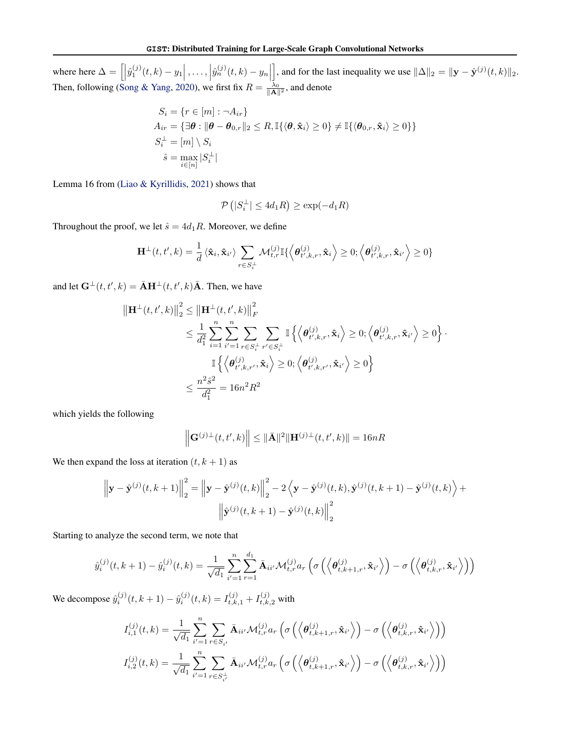where here  $\Delta = \left[ \left| \hat{y}_1^{(j)}(t,k) - y_1 \right|, \ldots, \left| \hat{y}_n^{(j)}(t,k) - y_n \right| \right]$ , and for the last inequality we use  $\|\Delta\|_2 = \|\mathbf{y} - \hat{\mathbf{y}}^{(j)}(t, k)\|_2$ . Then, following [\(Song & Yang,](#page-9-25) [2020\)](#page-9-25), we first fix  $R = \frac{\lambda_0}{\|\mathbf{A}\|^2}$ , and denote

$$
S_i = \{r \in [m] : \neg A_{ir}\}
$$
  
\n
$$
A_{ir} = \{\exists \theta : \|\theta - \theta_{0,r}\|_2 \le R, \mathbb{I}\{\langle \theta, \hat{\mathbf{x}}_i \rangle \ge 0\} \ne \mathbb{I}\{\langle \theta_{0,r}, \hat{\mathbf{x}}_i \rangle \ge 0\}\}
$$
  
\n
$$
S_i^{\perp} = [m] \setminus S_i
$$
  
\n
$$
\hat{s} = \max_{i \in [n]} |S_i^{\perp}|
$$

Lemma 16 from [\(Liao & Kyrillidis,](#page-9-24) [2021\)](#page-9-24) shows that

$$
\mathcal{P}\left(|S_i^{\perp}| \le 4d_1R\right) \ge \exp(-d_1R)
$$

Throughout the proof, we let  $\hat{s} = 4d_1R$ . Moreover, we define

$$
\mathbf{H}^{\perp}(t,t',k) = \frac{1}{d} \langle \hat{\mathbf{x}}_i, \hat{\mathbf{x}}_{i'} \rangle \sum_{r \in S_i^{\perp}} \mathcal{M}_{t,r}^{(j)} \mathbb{I} \Big\{ \Big\langle \boldsymbol{\theta}_{t',k,r}^{(j)}, \hat{\mathbf{x}}_i \Big\rangle \geq 0; \Big\langle \boldsymbol{\theta}_{t',k,r}^{(j)}, \hat{\mathbf{x}}_{i'} \Big\rangle \geq 0 \}
$$

and let  $\mathbf{G}^{\perp}(t, t', k) = \bar{\mathbf{A}} \mathbf{H}^{\perp}(t, t', k) \bar{\mathbf{A}}$ . Then, we have

$$
\|\mathbf{H}^{\perp}(t, t', k)\|_{2}^{2} \leq \|\mathbf{H}^{\perp}(t, t', k)\|_{F}^{2}
$$
  

$$
\leq \frac{1}{d_{1}^{2}} \sum_{i=1}^{n} \sum_{i'=1}^{n} \sum_{r \in S_{i}^{\perp}} \sum_{r' \in S_{i}^{\perp}} \mathbb{I}\left\{\left\langle \boldsymbol{\theta}_{t', k, r}^{(j)}, \hat{\mathbf{x}}_{i}\right\rangle \geq 0; \left\langle \boldsymbol{\theta}_{t', k, r}^{(j)}, \hat{\mathbf{x}}_{i'}\right\rangle \geq 0\right\} \cdot \|\mathbf{H}\left\{\left\langle \boldsymbol{\theta}_{t', k, r'}^{(j)}, \hat{\mathbf{x}}_{i}\right\rangle \geq 0; \left\langle \boldsymbol{\theta}_{t', k, r'}^{(j)}, \hat{\mathbf{x}}_{i'}\right\rangle \geq 0\right\}
$$
  

$$
\leq \frac{n^{2} \hat{s}^{2}}{d_{1}^{2}} = 16n^{2} R^{2}
$$

which yields the following

$$
\left\| \mathbf{G}^{(j)}(t, t', k) \right\| \leq \|\bar{\mathbf{A}}\|^2 \|\mathbf{H}^{(j)}(t, t', k)\| = 16nR
$$

We then expand the loss at iteration  $(t, k + 1)$  as

$$
\left\|\mathbf{y} - \hat{\mathbf{y}}^{(j)}(t, k+1)\right\|_{2}^{2} = \left\|\mathbf{y} - \hat{\mathbf{y}}^{(j)}(t, k)\right\|_{2}^{2} - 2\left\langle \mathbf{y} - \hat{\mathbf{y}}^{(j)}(t, k), \hat{\mathbf{y}}^{(j)}(t, k+1) - \hat{\mathbf{y}}^{(j)}(t, k)\right\rangle +
$$

$$
\left\|\hat{\mathbf{y}}^{(j)}(t, k+1) - \hat{\mathbf{y}}^{(j)}(t, k)\right\|_{2}^{2}
$$

Starting to analyze the second term, we note that

$$
\hat{y}_i^{(j)}(t, k+1) - \hat{y}_i^{(j)}(t, k) = \frac{1}{\sqrt{d_1}} \sum_{i'=1}^n \sum_{r=1}^{d_1} \bar{\mathbf{A}}_{ii'} \mathcal{M}_{t, r}^{(j)} a_r \left( \sigma \left( \left\langle \boldsymbol{\theta}_{t, k+1, r}^{(j)}, \hat{\mathbf{x}}_{i'} \right\rangle \right) - \sigma \left( \left\langle \boldsymbol{\theta}_{t, k, r}^{(j)}, \hat{\mathbf{x}}_{i'} \right\rangle \right) \right)
$$

We decompose  $\hat{y}_i^{(j)}(t, k + 1) - \hat{y}_i^{(j)}(t, k) = I_{t, k, 1}^{(j)} + I_{t, k, 2}^{(j)}$  with

$$
I_{i,1}^{(j)}(t,k) = \frac{1}{\sqrt{d_1}} \sum_{i'=1}^n \sum_{r \in S_{i'}} \bar{\mathbf{A}}_{ii'} \mathcal{M}_{t,r}^{(j)} a_r \left( \sigma \left( \left\langle \boldsymbol{\theta}_{t,k+1,r}^{(j)}, \hat{\mathbf{x}}_{i'} \right\rangle \right) - \sigma \left( \left\langle \boldsymbol{\theta}_{t,k,r}^{(j)}, \hat{\mathbf{x}}_{i'} \right\rangle \right) \right)
$$

$$
I_{i,2}^{(j)}(t,k) = \frac{1}{\sqrt{d_1}} \sum_{i'=1}^n \sum_{r \in S_{i'}^{\perp}} \bar{\mathbf{A}}_{ii'} \mathcal{M}_{t,r}^{(j)} a_r \left( \sigma \left( \left\langle \boldsymbol{\theta}_{t,k+1,r}^{(j)}, \hat{\mathbf{x}}_{i'} \right\rangle \right) - \sigma \left( \left\langle \boldsymbol{\theta}_{t,k,r}^{(j)}, \hat{\mathbf{x}}_{i'} \right\rangle \right) \right)
$$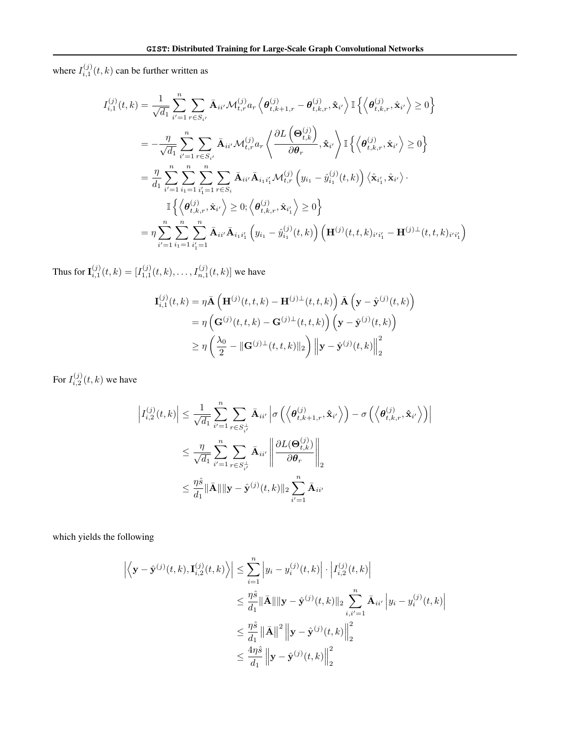where  $I_{i,1}^{(j)}(t,k)$  can be further written as

$$
I_{i,1}^{(j)}(t,k) = \frac{1}{\sqrt{d_1}} \sum_{i'=1}^{n} \sum_{r \in S_{i'}} \bar{\mathbf{A}}_{ii'} \mathcal{M}_{t,r}^{(j)} a_r \left\langle \theta_{t,k+1,r}^{(j)} - \theta_{t,k,r}^{(j)}, \hat{\mathbf{x}}_{i'} \right\rangle \mathbb{I} \left\{ \left\langle \theta_{t,k,r}^{(j)}, \hat{\mathbf{x}}_{i'} \right\rangle \ge 0 \right\}
$$
  
\n
$$
= -\frac{\eta}{\sqrt{d_1}} \sum_{i'=1}^{n} \sum_{r \in S_{i'}} \bar{\mathbf{A}}_{ii'} \mathcal{M}_{t,r}^{(j)} a_r \left\langle \frac{\partial L(\mathbf{Q}_{t,k}^{(j)})}{\partial \theta_r}, \hat{\mathbf{x}}_{i'} \right\rangle \mathbb{I} \left\{ \left\langle \theta_{t,k,r}^{(j)}, \hat{\mathbf{x}}_{i'} \right\rangle \ge 0 \right\}
$$
  
\n
$$
= \frac{\eta}{d_1} \sum_{i'=1}^{n} \sum_{i_1=1}^{n} \sum_{i'_1=1}^{n} \sum_{r \in S_i} \bar{\mathbf{A}}_{ii'} \bar{\mathbf{A}}_{i_1 i'_1} \mathcal{M}_{t,r}^{(j)} \left( y_{i_1} - \hat{y}_{i_1}^{(j)}(t, k) \right) \left\langle \hat{\mathbf{x}}_{i'_1}, \hat{\mathbf{x}}_{i'} \right\rangle \cdot \mathbb{I} \left\{ \left\langle \theta_{t,k,r}^{(j)}, \hat{\mathbf{x}}_{i'} \right\rangle \ge 0; \left\langle \theta_{t,k,r}^{(j)}, \hat{\mathbf{x}}_{i'} \right\rangle \ge 0 \right\}
$$
  
\n
$$
= \eta \sum_{i'=1}^{n} \sum_{i_1=1}^{n} \sum_{i'_1=1}^{n} \bar{\mathbf{A}}_{ii'} \bar{\mathbf{A}}_{i_1 i'_1} \left( y_{i_1} - \hat{y}_{i_1}^{(j)}(t, k) \right) \left( \mathbf{H}^{(j)}(t, t, k)_{i'i'_1} - \mathbf{H}^{(j)\perp}(t, t, k)_{i'i'_1} \right)
$$

Thus for  $I_{i,1}^{(j)}(t,k) = [I_{1,1}^{(j)}(t,k), \ldots, I_{n,1}^{(j)}(t,k)]$  we have

$$
\mathbf{I}_{i,1}^{(j)}(t,k) = \eta \bar{\mathbf{A}} \left( \mathbf{H}^{(j)}(t,t,k) - \mathbf{H}^{(j)\perp}(t,t,k) \right) \bar{\mathbf{A}} \left( \mathbf{y} - \hat{\mathbf{y}}^{(j)}(t,k) \right)
$$
  
=  $\eta \left( \mathbf{G}^{(j)}(t,t,k) - \mathbf{G}^{(j)\perp}(t,t,k) \right) \left( \mathbf{y} - \hat{\mathbf{y}}^{(j)}(t,k) \right)$   

$$
\geq \eta \left( \frac{\lambda_0}{2} - ||\mathbf{G}^{(j)\perp}(t,t,k)||_2 \right) ||\mathbf{y} - \hat{\mathbf{y}}^{(j)}(t,k)||_2^2
$$

For  $I_{i,2}^{(j)}(t,k)$  we have

$$
\left| I_{i,2}^{(j)}(t,k) \right| \leq \frac{1}{\sqrt{d_1}} \sum_{i'=1}^n \sum_{r \in S_{i'}^{\perp}} \bar{\mathbf{A}}_{ii'} \left| \sigma \left( \left\langle \boldsymbol{\theta}_{t,k+1,r}^{(j)}, \hat{\mathbf{x}}_{i'} \right\rangle \right) - \sigma \left( \left\langle \boldsymbol{\theta}_{t,k,r}^{(j)}, \hat{\mathbf{x}}_{i'} \right\rangle \right) \right|
$$
  

$$
\leq \frac{\eta}{\sqrt{d_1}} \sum_{i'=1}^n \sum_{r \in S_{i'}^{\perp}} \bar{\mathbf{A}}_{ii'} \left\| \frac{\partial L(\mathbf{\Theta}_{t,k}^{(j)})}{\partial \boldsymbol{\theta}_r} \right\|_2
$$
  

$$
\leq \frac{\eta \hat{s}}{d_1} \|\bar{\mathbf{A}}\| \|\mathbf{y} - \hat{\mathbf{y}}^{(j)}(t,k)\|_2 \sum_{i'=1}^n \bar{\mathbf{A}}_{ii'}
$$

which yields the following

$$
\left| \left\langle \mathbf{y} - \hat{\mathbf{y}}^{(j)}(t, k), \mathbf{I}_{i,2}^{(j)}(t, k) \right\rangle \right| \leq \sum_{i=1}^{n} \left| y_i - y_i^{(j)}(t, k) \right| \cdot \left| I_{i,2}^{(j)}(t, k) \right|
$$
  

$$
\leq \frac{\eta \hat{s}}{d_1} \|\bar{\mathbf{A}}\| \|\mathbf{y} - \hat{\mathbf{y}}^{(j)}(t, k) \|_2 \sum_{i, i'=1}^{n} \bar{\mathbf{A}}_{ii'} \left| y_i - y_i^{(j)}(t, k) \right|
$$
  

$$
\leq \frac{\eta \hat{s}}{d_1} \|\bar{\mathbf{A}}\|^2 \left\| \mathbf{y} - \hat{\mathbf{y}}^{(j)}(t, k) \right\|_2^2
$$
  

$$
\leq \frac{4\eta \hat{s}}{d_1} \left\| \mathbf{y} - \hat{\mathbf{y}}^{(j)}(t, k) \right\|_2^2
$$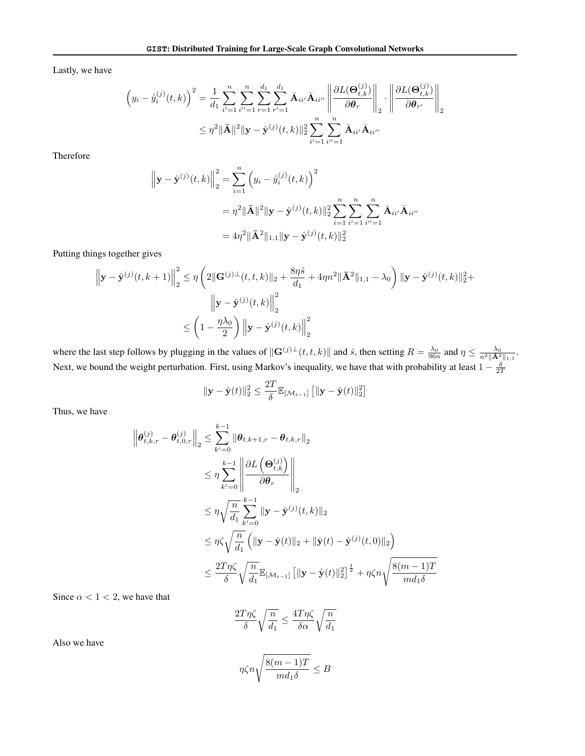Lastly, we have

$$
\left(y_{i} - \hat{y}_{i}^{(j)}(t, k)\right)^{2} = \frac{1}{d_{1}} \sum_{i'=1}^{n} \sum_{i''=1}^{n} \sum_{r=1}^{d_{1}} \sum_{r'=1}^{d_{1}} \bar{\mathbf{A}}_{ii'} \bar{\mathbf{A}}_{ii''} \left\| \frac{\partial L(\Theta_{t, k}^{(j)})}{\partial \theta_{r}} \right\|_{2} \cdot \left\| \frac{\partial L(\Theta_{t, k}^{(j)})}{\partial \theta_{r'}} \right\|_{2}
$$

$$
\leq \eta^{2} \|\bar{\mathbf{A}}\|^{2} \|\mathbf{y} - \hat{\mathbf{y}}^{(j)}(t, k)\|_{2}^{2} \sum_{i'=1}^{n} \sum_{i''=1}^{n} \bar{\mathbf{A}}_{ii'} \bar{\mathbf{A}}_{ii''}
$$

Therefore

$$
\|\mathbf{y} - \hat{\mathbf{y}}^{(j)}(t,k)\|_{2}^{2} = \sum_{i=1}^{n} \left(y_{i} - \hat{y}_{i}^{(j)}(t,k)\right)^{2}
$$
  

$$
= \eta^{2} \|\bar{\mathbf{A}}\|^{2} \|\mathbf{y} - \hat{\mathbf{y}}^{(j)}(t,k)\|_{2}^{2} \sum_{i=1}^{n} \sum_{i'=1}^{n} \bar{\mathbf{A}}_{ii'} \bar{\mathbf{A}}_{ii'}
$$
  

$$
= 4\eta^{2} \|\bar{\mathbf{A}}^{2}\|_{1,1} \|\mathbf{y} - \hat{\mathbf{y}}^{(j)}(t,k)\|_{2}^{2}
$$

Putting things together gives

$$
\left\|\mathbf{y} - \hat{\mathbf{y}}^{(j)}(t, k+1)\right\|_{2}^{2} \leq \eta \left(2\|\mathbf{G}^{(j)}\|_{2}(t, t, k)\|_{2} + \frac{8\eta\hat{s}}{d_{1}} + 4\eta n^{2}\|\bar{\mathbf{A}}^{2}\|_{1, 1} - \lambda_{0}\right) \|\mathbf{y} - \hat{\mathbf{y}}^{(j)}(t, k)\|_{2}^{2} + \left\|\mathbf{y} - \hat{\mathbf{y}}^{(j)}(t, k)\right\|_{2}^{2}
$$

$$
\leq \left(1 - \frac{\eta\lambda_{0}}{2}\right) \left\|\mathbf{y} - \hat{\mathbf{y}}^{(j)}(t, k)\right\|_{2}^{2}
$$

where the last step follows by plugging in the values of  $\|\mathbf{G}^{(j)}(t, t, k)\|$  and  $\hat{s}$ , then setting  $R = \frac{\lambda_0}{96n}$  and  $\eta \le \frac{\lambda_0}{n^2 \|\mathbf{A}^2\|_{1,1}}$ . Next, we bound the weight perturbation. First, using Markov's inequality, we have that with probability at least  $1-\frac{\delta}{2T}$ 

$$
\|\mathbf{y} - \hat{\mathbf{y}}(t)\|_2^2 \le \frac{2T}{\delta} \mathbb{E}_{\left[\mathcal{M}_{t-1}\right]} \left[ \|\mathbf{y} - \hat{\mathbf{y}}(t)\|_2^2 \right]
$$

Thus, we have

$$
\begin{aligned}\n\left\|\theta_{t,k,r}^{(j)} - \theta_{t,0,r}^{(j)}\right\|_{2} &\leq \sum_{k'=0}^{k-1} \left\|\theta_{t,k+1,r} - \theta_{t,k,r}\right\|_{2} \\
&\leq \eta \sum_{k'=0}^{k-1} \left\|\frac{\partial L\left(\Theta_{t,k}^{(j)}\right)}{\partial \theta_{r}}\right\|_{2} \\
&\leq \eta \sqrt{\frac{n}{d_1}} \sum_{k'=0}^{k-1} \left\|\mathbf{y} - \hat{\mathbf{y}}^{(j)}(t,k)\right\|_{2} \\
&\leq \eta \zeta \sqrt{\frac{n}{d_1}} \left(\|\mathbf{y} - \hat{\mathbf{y}}(t)\|_{2} + \|\hat{\mathbf{y}}(t) - \hat{\mathbf{y}}^{(j)}(t,0)\|_{2}\right) \\
&\leq \frac{2T\eta\zeta}{\delta} \sqrt{\frac{n}{d_1}} \mathbb{E}_{\left[\mathcal{M}_{t-1}\right]} \left[\|\mathbf{y} - \hat{\mathbf{y}}(t)\|_{2}^{2}\right]^{\frac{1}{2}} + \eta\zeta n \sqrt{\frac{8(m-1)T}{md_1\delta}}\n\end{aligned}
$$

Since  $\alpha < 1 < 2$ , we have that

$$
\frac{2T\eta\zeta}{\delta}\sqrt{\frac{n}{d_1}} \le \frac{4T\eta\zeta}{\delta\alpha}\sqrt{\frac{n}{d_1}}
$$

Also we have

$$
\eta \zeta n \sqrt{\frac{8(m-1)T}{m d_1 \delta}} \leq B
$$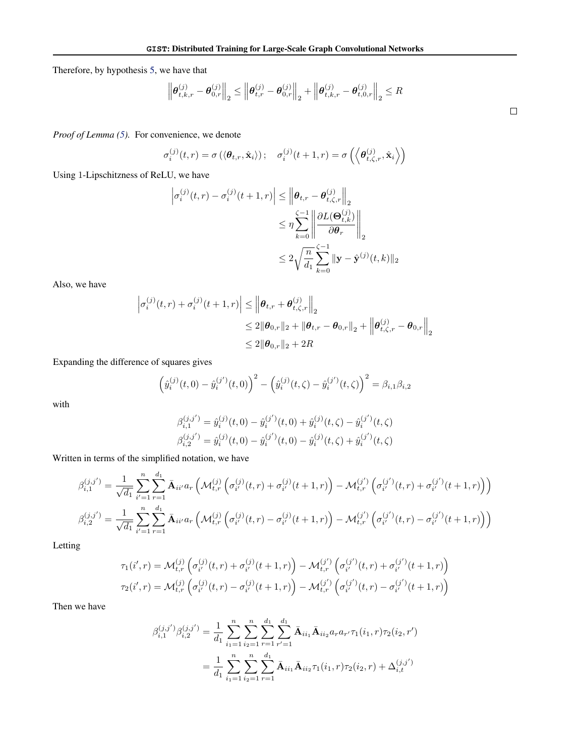Therefore, by hypothesis [5,](#page-16-1) we have that

$$
\left\|\bm{\theta}_{t,k,r}^{(j)} - \bm{\theta}_{0,r}^{(j)}\right\|_2 \le \left\|\bm{\theta}_{t,r}^{(j)} - \bm{\theta}_{0,r}^{(j)}\right\|_2 + \left\|\bm{\theta}_{t,k,r}^{(j)} - \bm{\theta}_{t,0,r}^{(j)}\right\|_2 \le R
$$

*Proof of Lemma [\(5\)](#page-18-0).* For convenience, we denote

$$
\sigma_i^{(j)}(t,r) = \sigma\left(\langle \boldsymbol{\theta}_{t,r}, \hat{\mathbf{x}}_i \rangle\right); \quad \sigma_i^{(j)}(t+1,r) = \sigma\left(\left\langle \boldsymbol{\theta}_{t,\zeta,r}^{(j)}, \hat{\mathbf{x}}_i \right\rangle\right)
$$

Using 1-Lipschitzness of ReLU, we have

$$
\left| \sigma_i^{(j)}(t, r) - \sigma_i^{(j)}(t+1, r) \right| \le \left\| \boldsymbol{\theta}_{t, r} - \boldsymbol{\theta}_{t, \zeta, r}^{(j)} \right\|_2
$$
  

$$
\le \eta \sum_{k=0}^{\zeta - 1} \left\| \frac{\partial L(\boldsymbol{\Theta}_{t, k}^{(j)})}{\partial \boldsymbol{\theta}_r} \right\|_2
$$
  

$$
\le 2 \sqrt{\frac{n}{d_1} \sum_{k=0}^{\zeta - 1} \|\mathbf{y} - \hat{\mathbf{y}}^{(j)}(t, k)\|_2}
$$

Also, we have

$$
\left| \sigma_i^{(j)}(t,r) + \sigma_i^{(j)}(t+1,r) \right| \leq \left\| \theta_{t,r} + \theta_{t,\zeta,r}^{(j)} \right\|_2
$$
  

$$
\leq 2 \|\theta_{0,r}\|_2 + \|\theta_{t,r} - \theta_{0,r}\|_2 + \left\| \theta_{t,\zeta,r}^{(j)} - \theta_{0,r} \right\|_2
$$
  

$$
\leq 2 \|\theta_{0,r}\|_2 + 2R
$$

Expanding the difference of squares gives

$$
\left(\hat{y}_i^{(j)}(t,0) - \hat{y}_i^{(j')}(t,0)\right)^2 - \left(\hat{y}_i^{(j)}(t,\zeta) - \hat{y}_i^{(j')}(t,\zeta)\right)^2 = \beta_{i,1}\beta_{i,2}
$$

with

$$
\begin{aligned} \beta_{i,1}^{(j,j')}&=\hat{y}_i^{(j)}(t,0)-\hat{y}_i^{(j')}(t,0)+\hat{y}_i^{(j)}(t,\zeta)-\hat{y}_i^{(j')}(t,\zeta)\\ \beta_{i,2}^{(j,j')}&=\hat{y}_i^{(j)}(t,0)-\hat{y}_i^{(j')}(t,0)-\hat{y}_i^{(j)}(t,\zeta)+\hat{y}_i^{(j')}(t,\zeta) \end{aligned}
$$

Written in terms of the simplified notation, we have

$$
\beta_{i,1}^{(j,j')} = \frac{1}{\sqrt{d_1}} \sum_{i'=1}^{n} \sum_{r=1}^{d_1} \bar{\mathbf{A}}_{ii'} a_r \left( \mathcal{M}_{t,r}^{(j)} \left( \sigma_{i'}^{(j)}(t,r) + \sigma_{i'}^{(j)}(t+1,r) \right) - \mathcal{M}_{t,r}^{(j')} \left( \sigma_{i'}^{(j')}(t,r) + \sigma_{i'}^{(j')}(t+1,r) \right) \right)
$$
\n
$$
\beta_{i,2}^{(j,j')} = \frac{1}{\sqrt{d_1}} \sum_{i'=1}^{n} \sum_{r=1}^{d_1} \bar{\mathbf{A}}_{ii'} a_r \left( \mathcal{M}_{t,r}^{(j)} \left( \sigma_{i'}^{(j)}(t,r) - \sigma_{i'}^{(j)}(t+1,r) \right) - \mathcal{M}_{t,r}^{(j')} \left( \sigma_{i'}^{(j')}(t,r) - \sigma_{i'}^{(j')}(t+1,r) \right) \right)
$$

Letting

$$
\tau_1(i',r) = \mathcal{M}_{t,r}^{(j)}\left(\sigma_{i'}^{(j)}(t,r) + \sigma_{i'}^{(j)}(t+1,r)\right) - \mathcal{M}_{t,r}^{(j')}\left(\sigma_{i'}^{(j')}(t,r) + \sigma_{i'}^{(j')}(t+1,r)\right)
$$
  

$$
\tau_2(i',r) = \mathcal{M}_{t,r}^{(j)}\left(\sigma_{i'}^{(j)}(t,r) - \sigma_{i'}^{(j)}(t+1,r)\right) - \mathcal{M}_{t,r}^{(j')}\left(\sigma_{i'}^{(j')}(t,r) - \sigma_{i'}^{(j')}(t+1,r)\right)
$$

Then we have

$$
\beta_{i,1}^{(j,j')} \beta_{i,2}^{(j,j')} = \frac{1}{d_1} \sum_{i_1=1}^n \sum_{i_2=1}^n \sum_{r=1}^d \sum_{r'=1}^{d_1} \bar{\mathbf{A}}_{ii_1} \bar{\mathbf{A}}_{ii_2} a_r a_{r'} \tau_1(i_1, r) \tau_2(i_2, r')
$$
  
= 
$$
\frac{1}{d_1} \sum_{i_1=1}^n \sum_{i_2=1}^n \sum_{r=1}^{d_1} \bar{\mathbf{A}}_{ii_1} \bar{\mathbf{A}}_{ii_2} \tau_1(i_1, r) \tau_2(i_2, r) + \Delta_{i,t}^{(j,j')}
$$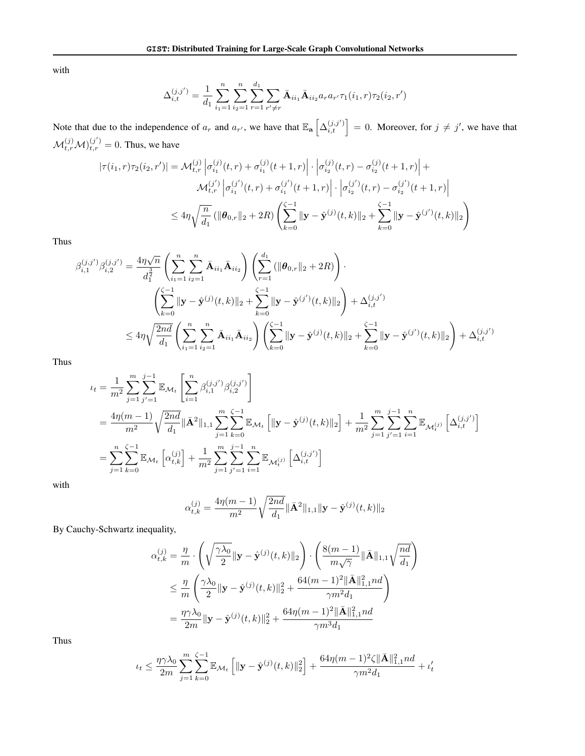with

$$
\Delta_{i,t}^{(j,j')} = \frac{1}{d_1} \sum_{i_1=1}^n \sum_{i_2=1}^n \sum_{r=1}^d \sum_{r' \neq r} \bar{A}_{ii_1} \bar{A}_{ii_2} a_r a_{r'} \tau_1(i_1, r) \tau_2(i_2, r')
$$

Note that due to the independence of  $a_r$  and  $a_{r'}$ , we have that  $\mathbb{E}_a\left[\Delta_{i,t}^{(j,j')}\right] = 0$ . Moreover, for  $j \neq j'$ , we have that  $\mathcal{M}_{t,r}^{(j)}\mathcal{M}^{(j')}_{t,r}=0$ . Thus, we have

$$
|\tau(i_1, r)\tau_2(i_2, r')| = \mathcal{M}_{t,r}^{(j)} \left| \sigma_{i_1}^{(j)}(t, r) + \sigma_{i_1}^{(j)}(t+1, r) \right| \cdot \left| \sigma_{i_2}^{(j)}(t, r) - \sigma_{i_2}^{(j)}(t+1, r) \right| +
$$
  

$$
\mathcal{M}_{t,r}^{(j')} \left| \sigma_{i_1}^{(j')}(t, r) + \sigma_{i_1}^{(j')}(t+1, r) \right| \cdot \left| \sigma_{i_2}^{(j')}(t, r) - \sigma_{i_2}^{(j')}(t+1, r) \right|
$$
  

$$
\leq 4\eta \sqrt{\frac{n}{d_1}} \left( \|\boldsymbol{\theta}_{0,r}\|_2 + 2R \right) \left( \sum_{k=0}^{\zeta-1} \|\mathbf{y} - \hat{\mathbf{y}}^{(j)}(t, k)\|_2 + \sum_{k=0}^{\zeta-1} \|\mathbf{y} - \hat{\mathbf{y}}^{(j')}(t, k)\|_2 \right)
$$

Thus

$$
\beta_{i,1}^{(j,j')} \beta_{i,2}^{(j,j')} = \frac{4\eta \sqrt{n}}{d_1^{\frac{3}{2}}} \left( \sum_{i_1=1}^n \sum_{i_2=1}^n \bar{\mathbf{A}}_{ii_1} \bar{\mathbf{A}}_{ii_2} \right) \left( \sum_{r=1}^{d_1} \left( \|\boldsymbol{\theta}_{0,r}\|_2 + 2R \right) \right) \cdot \left( \sum_{k=0}^{\zeta-1} \|\mathbf{y} - \hat{\mathbf{y}}^{(j)}(t,k)\|_2 + \sum_{k=0}^{\zeta-1} \|\mathbf{y} - \hat{\mathbf{y}}^{(j')}(t,k)\|_2 \right) + \Delta_{i,t}^{(j,j')} \leq 4\eta \sqrt{\frac{2nd}{d_1}} \left( \sum_{i_1=1}^n \sum_{i_2=1}^n \bar{\mathbf{A}}_{ii_1} \bar{\mathbf{A}}_{ii_2} \right) \left( \sum_{k=0}^{\zeta-1} \|\mathbf{y} - \hat{\mathbf{y}}^{(j)}(t,k)\|_2 + \sum_{k=0}^{\zeta-1} \|\mathbf{y} - \hat{\mathbf{y}}^{(j')}(t,k)\|_2 \right) + \Delta_{i,t}^{(j,j')}
$$

Thus

$$
\begin{split} \iota_{t} &= \frac{1}{m^{2}} \sum_{j=1}^{m} \sum_{j'=1}^{j-1} \mathbb{E}_{\mathcal{M}_{t}} \left[ \sum_{i=1}^{n} \beta_{i,1}^{(j,j')} \beta_{i,2}^{(j,j')} \right] \\ &= \frac{4\eta(m-1)}{m^{2}} \sqrt{\frac{2nd}{d_{1}}} \|\bar{\mathbf{A}}^{2}\|_{1,1} \sum_{j=1}^{m} \sum_{k=0}^{\zeta-1} \mathbb{E}_{\mathcal{M}_{t}} \left[ \|\mathbf{y} - \hat{\mathbf{y}}^{(j)}(t,k)\|_{2} \right] + \frac{1}{m^{2}} \sum_{j=1}^{m} \sum_{j'=1}^{j-1} \sum_{i=1}^{n} \mathbb{E}_{\mathcal{M}_{t}^{(j)}} \left[ \Delta_{i,t}^{(j,j')} \right] \\ &= \sum_{j=1}^{n} \sum_{k=0}^{\zeta-1} \mathbb{E}_{\mathcal{M}_{t}} \left[ \alpha_{t,k}^{(j)} \right] + \frac{1}{m^{2}} \sum_{j=1}^{m} \sum_{j'=1}^{j-1} \sum_{i=1}^{n} \mathbb{E}_{\mathcal{M}_{t}^{(j)}} \left[ \Delta_{i,t}^{(j,j')} \right] \end{split}
$$

with

$$
\alpha_{t,k}^{(j)} = \frac{4\eta(m-1)}{m^2} \sqrt{\frac{2nd}{d_1}} ||\bar{\mathbf{A}}^2||_{1,1} ||\mathbf{y} - \hat{\mathbf{y}}^{(j)}(t,k)||_2
$$

By Cauchy-Schwartz inequality,

$$
\alpha_{t,k}^{(j)} = \frac{\eta}{m} \cdot \left( \sqrt{\frac{\gamma \lambda_0}{2}} ||\mathbf{y} - \hat{\mathbf{y}}^{(j)}(t, k)||_2 \right) \cdot \left( \frac{8(m-1)}{m\sqrt{\gamma}} ||\bar{\mathbf{A}}||_{1,1} \sqrt{\frac{nd}{d_1}} \right)
$$
  

$$
\leq \frac{\eta}{m} \left( \frac{\gamma \lambda_0}{2} ||\mathbf{y} - \hat{\mathbf{y}}^{(j)}(t, k)||_2^2 + \frac{64(m-1)^2 ||\bar{\mathbf{A}}||_{1,1}^2 nd}{\gamma m^2 d_1} \right)
$$
  

$$
= \frac{\eta \gamma \lambda_0}{2m} ||\mathbf{y} - \hat{\mathbf{y}}^{(j)}(t, k)||_2^2 + \frac{64\eta(m-1)^2 ||\bar{\mathbf{A}}||_{1,1}^2 nd}{\gamma m^3 d_1}
$$

Thus

$$
\iota_t \leq \frac{\eta \gamma \lambda_0}{2m} \sum_{j=1}^m \sum_{k=0}^{\zeta-1} \mathbb{E}_{\mathcal{M}_t} \left[ \|\mathbf{y} - \hat{\mathbf{y}}^{(j)}(t,k)\|_2^2 \right] + \frac{64\eta(m-1)^2 \zeta \|\bar{\mathbf{A}}\|_{1,1}^2 nd}{\gamma m^2 d_1} + \iota'_t
$$